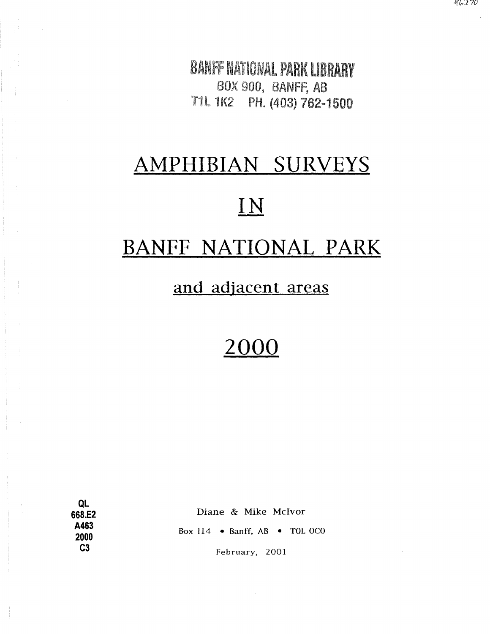BANFF NATIONAL PARK LIBRARY **BOX 900, BANFF, AB** T1L 1K2 PH. (403) 762-1500

### **AMPHIBIAN SURVEYS**

### **IN**

### **BANFF NATIONAL PARK**

**and adjacent areas** 

### **2000**

**QL 668.E2 A463 2000 C3** 

Diane & Mike McIvor Box 114 • Banff, AB • TOL OCO

February, 2001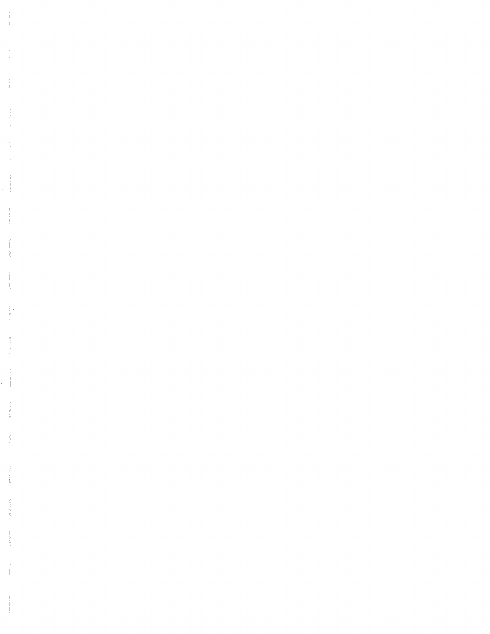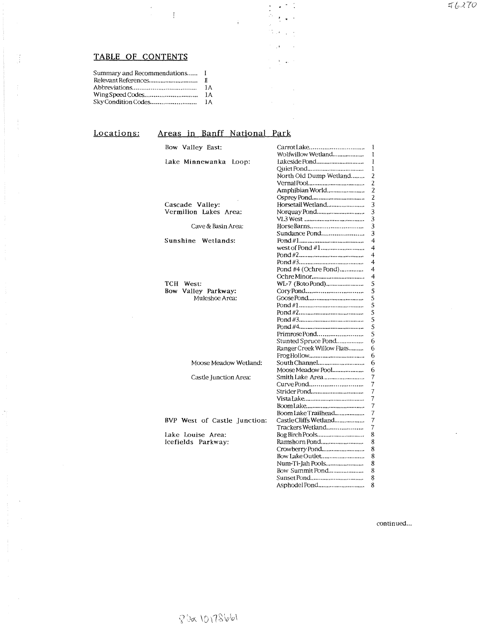### TABLE OF CONTENTS

| Summary and Recommendations I |              |
|-------------------------------|--------------|
| Relevant References           | и            |
|                               | 1Α           |
| Wing Speed Codes              | TΑ           |
| Sky Condition Codes           | $\mathbf{A}$ |

### Locations: Areas in Banff National Park

÷

### Bow Valley East:

Lake Minnewanka Loop:

Cascade Valley: Vermilion Lakes Area:

Cave & Basin Area:

#### Sunshine Wetlands:

TCH West: Bow Valley Parkway: Muleshoe Area:

Moose Meadow Wetland: Castle Junction Area: BVP West of Castle Junction: Lake Louise Area: Icefields Parkway: North Old Dump Wetland........ 2 VernalPooI................................... 2 Amphibian World....................... 2 Osprey Pond................................ 2 Horsetail Wetland....................... 3 Norquay Pond................. ...... ...... 3 VL3West .................................... 3 HorseBarns ............................ . 3 Sundance Pond ...................... . 3 Pond#1. .................................... .. west of Pond #1 ........................ .. Pond #2 ..................................... .. 4 Pond#3 ...................................... . Pond #4 (Ochre Pond).............. Ochre Minor ............................... . 4 WL-7 (Boto Pond) ......................... CoryPond ............................. .. GoosePond ................................ .. Pond#I ..................................... .. 5 Pond#2 ...................................... . Pond #3 ..................................... .. Pond #4 ..................................... .. 5 Primrose Pond ........................ . Stunted Spruce Pond................ Ranger Creek Willow Flats ....... .. 6 Frog Hollow ................................. . 6 SOuthChannel. ......................... .. 6 Moose Meadow PooL ............... . 6 Smith Lake Area ....................... . 7 CurvePond ............................ . Strider Pond............. ................... 7 Vistalake..................................... 7 Boom Lake.................................... 7 Boom LakeTrailhead.................. 7 Castle Cliffs Wetland.................. 7 Trackers Wetland.... ................ 7 Bog BirchPoois............................. 8 Ramshorn Pond.......................... 8 Crowberry Pond.......................... 8 Bow lake Outlet....... ................... 8 Num-Ti-JahPooIs....................... 8 Bow Summit Pond..................... 8 Sunset Pond..... ...... ..................... 8 Asphodel Pond............................ 8

Carrot lake......................... ..... I Wolfwillow Wetland................... lakeside Pond............................. 1 QilietPond.................................. 1

> > $\frac{7}{7}$

continued...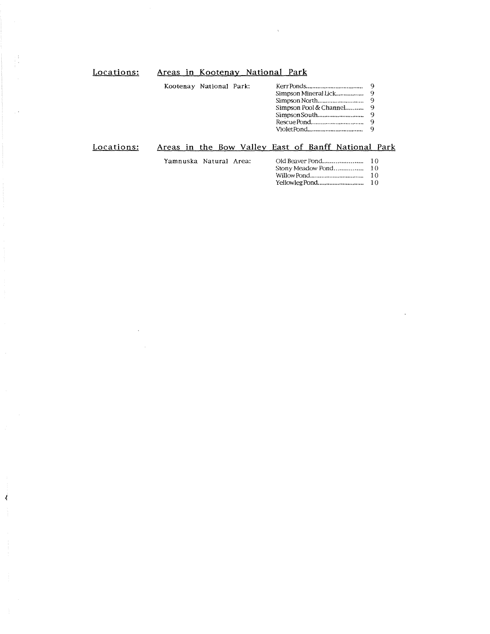#### **Locations: Areas in Kootenay National Park**

Kootenay National Park:

|                        | q |
|------------------------|---|
| Simpson Mineral Lick   | 9 |
| Simpson North          | 9 |
| Simpson Pool & Channel | 9 |
| Simpson South          | 9 |
| Rescue Pond            | 9 |
|                        | 9 |

#### **Locations: Areas in the Bow Valley East of Banff National Park**

Yamnuska Natural Area:

 $\mathcal{L}^{\pm}$ 

 $\overline{\mathbf{C}}$ 

 $\sim$ 

| Old Beaver Pond   | $\{ \}$ |
|-------------------|---------|
| Stony Meadow Pond | -10     |
|                   | 10      |
| Yellowleg Pond    | 10      |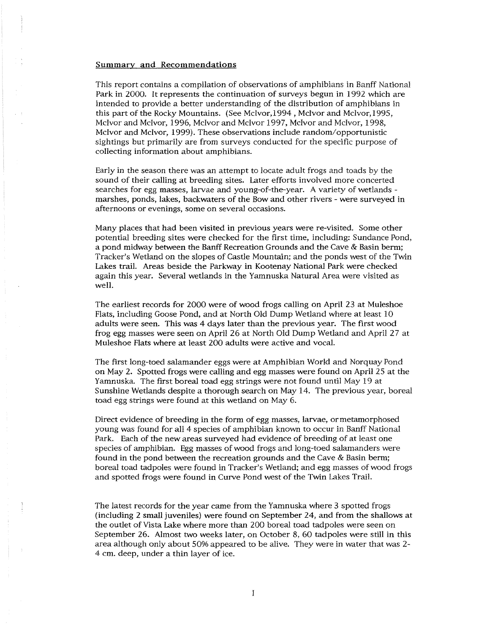#### Summary and Recommendations

This report contains a compilation of observations of amphibians in Banff National Park in 2000. It represents the continuation of surveys begun in 1992 which are intended to provide a better understanding of the distribution of amphibians in this part of the Rocky Mountains. (See McIvor,1994 , McIvor and McIvor, 1995, McIvor and McIvor, 1996, McIvor and McIvor 1997, McIvor and McIvor, 1998, McIvor and McIvor, 1999). These observations include random/opportunistic sightings but primarily are from surveys conducted for the specific purpose of collecting information about amphibians.

Early in the season there was an attempt to locate adult frogs and toads by the sound of their calling at breeding sites. Later efforts involved more concerted searches for egg masses, larvae and young-of-the-year. A variety of wetlands marshes, ponds, lakes, backwaters of the Bow and other rivers - were surveyed in afternoons or evenings, some on several occasions.

Many places that had been visited in previous years were re-visited. Some other potential breeding sites were checked for the first time, including: Sundance Pond, a pond midway between the Banff Recreation Grounds and the Cave & Basin berm; Tracker's Wetland on the slopes of Castle Mountain; and the ponds west of the Twin Lakes trail. Areas beside the Parkway in Kootenay National Park were checked again this year. Several wetlands in the Yamnuska Natural Area were visited as well.

The earliest records for 2000 were of wood frogs calling on April 23 at Muleshoe Flats, including Goose Pond, and at North Old Dump Wetland where at least 10 adults were seen. This was 4 days later than the previous year. The first wood frog egg masses were seen on April 26 at North Old Dump Wetland and April 27 at Muleshoe Flats where at least 200 adults were active and vocal.

The first long-toed salamander eggs were at Amphibian World and Norquay Pond on May 2. Spotted frogs were calling and egg masses were found on April 25 at the Yamnuska. The first boreal toad egg strings were not found until May 19 at Sunshine Wetlands despite a thorough search on May 14. The previous year, boreal toad egg strings were found at this wetland on May 6.

Direct evidence of breeding in the form of egg masses, larvae, or metamorphosed young was found for all 4 species of amphibian known to occur in Banff National Park. Each of the new areas surveyed had evidence of breeding of at least one species of amphibian. Egg masses of wood frogs and long-toed salamanders were found in the pond between the recreation grounds and the Cave & Basin berm; boreal toad tadpoles were found in Tracker's Wetland; and egg masses of wood frogs and spotted frogs were found in Curve Pond west of the Twin Lakes Trail.

The latest records for the year came from the Yamnuska where 3 spotted frogs (including 2 small juveniles) were found on September 24, and from the shallows at the outlet of Vista Lake where more than 200 boreal toad tadpoles were seen on September 26. Almost two weeks later, on October 8, 60 tadpoles were still in this area although only about 50% appeared to be alive. They were in water that was 2- 4 cm. deep, under a thin layer of ice.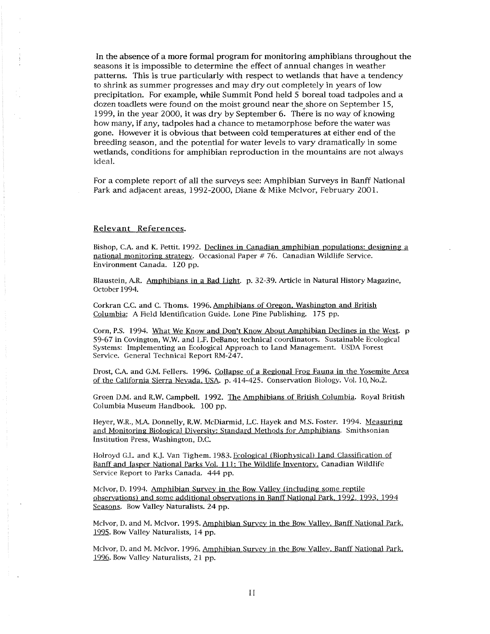In the absence of a more formal program for monitoring amphibians throughout the seasons it is impossible to determine the effect of annual changes in weather patterns. This is true particularly with respect to wetlands that have a tendency to shrink as summer progresses and may dry out completely in years of low precipitation. For example, while Summit Pond held 5 boreal toad tadpoles and a dozen toadlets were found on the moist ground near the shore on September 15, 1999, in the year 2000, it was dry by September 6. There is no way of knowing how many, if any, tadpoles had a chance to metamorphose before the water was gone. However it is obvious that between cold temperatures at either end of the breeding season, and the potential for water levels to vary dramatically in some wetlands, conditions for amphibian reproduction in the mountains are not always ideal.

For a complete report of all the surveys see: Amphibian Surveys in Banff National Park and adjacent areas, 1992-2000, Diane & Mike McIvor, February 2001.

#### Relevant References.

Bishop, C.A. and K. Pettit. 1992. Declines in Canadian amphibian populations: designing a national monitoring strategy. Occasional Paper # 76. Canadian Wildlife Service. Environment Canada. 120 pp.

Blaustein, A.R. Amphibians in a Bad Light. p. 32-39. Article in Natural History Magazine, October 1994.

Corkran C.c. and C. Thoms. 1996. Amphibians of Oregon. Washington and British Columbia; A Field Identification Guide. Lone Pine Publishing. 175 pp.

Corn, P.S. 1994. What We Know and Don't Know About Amphibian Declines in the West. p 59-67 in Covington, W.W. and L.F. DeBano; technical coordinators. Sustainable Ecological Systems: Implementing an Ecological Approach to Land Management. USDA Forest Service. General Technical Report RM-247.

Drost, C.A. and G.M. Fellers. 1996. Collapse of a Regional Frog Fauna in the Yosemite Area of the California Sierra Nevada, USA. p.414-425. Conservation Biology. Vol. 10, No.2.

Green D.M. and R.W. Campbell. 1992. The Amphibians of British Columbia. Royal British Columbia Museum Handbook. 100 pp.

Heyer, W.R., M.A. Donnelly, R.W. McDiarmid, L.C. Hayek and M.S. Foster. 1994. Measuring and MonitOring Biological Diversity: Standard Methods for Amphibians. Smithsonian Institution Press, Washington, D.C.

Holroyd G.L and K.J, Van Tighem. 1983. Ecological (Biophysical) Land Classification of Banff and Jasper National Parks Vol. 111: The Wildlife Inventory. Canadian Wildlife Service Report to Parks Canada. 444 pp.

McIvor, D. 1994. Amphibian Survey in the Bow Valley (including some reptile observations) and some additional observations in Banff National Park, 1992. 1993, 1994 Seasons. Bow Valley Naturalists. 24 pp.

McIvor, D. and M. McIvor. 1995. Amphibian Survey in the Bow Valley, Banff National Park, 1995. Bow Valley Naturalists, 14 pp.

Mclvor, D. and M. Mclvor. 1996. Amphibian Survey in the Bow Valley, Banff National Park. 1996. Bow Valley Naturalists, 21 pp.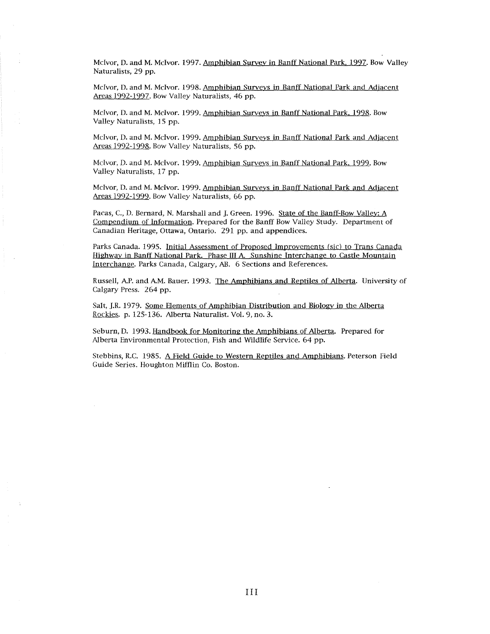McIvor, D. and M. McIvor. 1997. Amphibian Survey in Banff National Park, 1997. Bow Valley Naturalists, 29 pp.

McIvor, D. and M. McIvor. 1998. Amphibian Surveys in Banff National Park and Adjacent Areas 1992-1997. Bow Valley Naturalists, 46 pp.

McIvor, D. and M. McIvor. 1999. Amphibian Surveys in Banff National Park, 1998. Bow Valley Naturalists, 15 pp.

McIvor, D. and M. McIvor. 1999. Amphibian Surveys in Banff National Park and Adjacent Areas 1992-1998. Bow Valley Naturalists, 56 pp.

McIvor, D. and M. McIvor. 1999. Amphibian Surveys in Banff National Park, 1999. Bow Valley Naturalists, 17 pp.

McIvor, D. and M. McIvor. 1999. Amphibian Surveys in Banff National Park and Adjacent Areas 1992-1999. Bow Valley Naturalists, 66 pp.

Pacas, C., D. Bernard, N. Marshall and J. Green. 1996. State of the Banff-Bow Valley: A Compendium of Information. Prepared for the Banff Bow Valley Study. Department of Canadian Heritage, Ottawa, Ontario. 291 pp. and appendices.

Parks Canada. 1995. Initial Assessment of Proposed Improvements (sic) to Trans Canada Highway in Banff National Park. Phase III A. Sunshine Interchange to Castle Mountain Interchange. Parks Canada, Calgary, AB. 6 Sections and References.

Russell, A.P. and A.M. Bauer. 1993. 'The Amphibians and Reptiles of Alberta. University of Calgary Press, 264 pp.

Salt, ].R. 1979. Some Elements of Amphibian Distribution and Biology in the Alberta Rockies. p. 125-136. Alberta Naturalist. Vol. 9, no. 3.

Seburn, D. 1993. Handbook for Monitoring the Amphibians of Alberta. Prepared for Alberta Environmental Protection, Fish and Wildlife Service. 64 pp.

Stebbins, R.C. 1985. A Field Guide to Western Reptiles and Amphibians. Peterson Field Guide Series. Houghton Mifflin Co. Boston.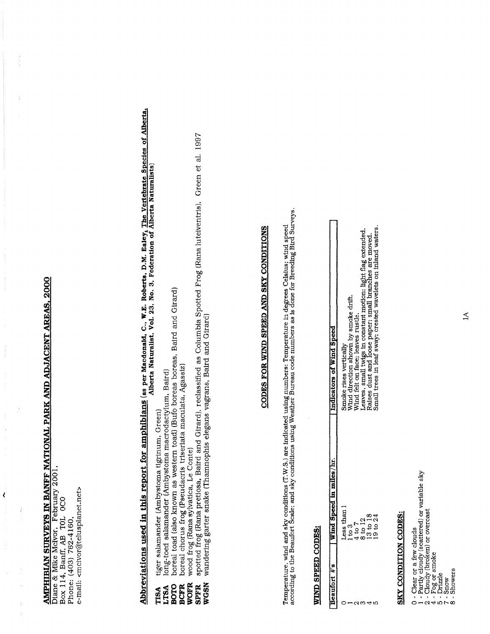## **AMPHIBIAN SURVEYS IN BANFF NATIONAL PARK AND ADJACENT AREAS. 2000**  AMPHIBIAN SURVEYS IN BANFF NATIONAL PARK AND ADJACENT AREAS, 2000 Diane & Mike McIvor, February 2001. Diane & Mike McIvor, February 2001,

 $\langle$ 

 $\frac{1}{2}$ 

e-mail: <mcivor@telusplanet.neb Phone: (403) 762-4160,<br>e-mail: <mcivor@telusplanet.net> Box 114, Banff, AB TOL OCO Box 114, Banff, AB TOL OCO Phone: (403) 762-4160,

# **Abbreviations used in this report for amphibians (as per Macdonald,** C., **W.E. Roberts, D.M.** Ealey~ **The Vertebrate Species of Alberta. Alberta Naturalist, Vol. 23, No.3, Federation of Alberta Naturalists)**  Abbreviations used in this report for amphibians (as per Macdonald, C., W.E. Roberts, D.M. Ealey, <u>The Vertebrate Species of Alberta,</u><br>TISA theer salamander (Ambystoma tigrinum, Green) Alberta Naturalist, Vol. 23, No. 3, F

- tiger salamander (Ambystoma tigrinum, Green)
	- **LTSA**  long-toed salamander (Ambystoma macrodactylum, Baird)
- boreal toad (also known as western toad) (Bufo boreas boreas, Baird and Girard) tiger salamander (Ambystoma tigrinum, Green)<br>long-toed salamander (Ambystoma macrodactylum, Baird)<br>boreal toad (also known as western toad) (Bufo boreas boreas, Baird and Girard) BOTO
	- sonal chorus recommensions in the content of the particle of the particle of Pseudacris triseriata maculata, Agassiz) wood frog (Rana sylvatica, Le Conte) boreal chorus frog (Pseudacris triseriata maculata, Agassiz) **BCFR** 
		- **WOFR**  wood frog (Rana sylvatica, Le Conte)
- Green et al. 1997 spotted frog (Rana pretiosa, Baird and Girard), reclassified as Columbia Spotted Frog (Rana luteiventris), Green et al. 1997<br>wandering garter snake (Thamnophis elegans vagrans, Baird and Girard) spotted frog (Rana pretlosa, Baird and Girard), reclassified as Columbia Spotted Frog (Rana luteiventris), wandering garter snake (Thamnophis elegans vagrans, Baird and Girard) **WGSN SPFR**

# CODES FOR WIND SPEED AND SKY CONDITIONS **CODES FOR WIND SPEED AND SKY CONDITIONS**

Temperature, wind and sky conditions (T.W.S.) are indicated using numbers: Temperature in degrees Celsius; wind speed<br>according to the Beaufort Scale; and sky conditions using Weather Bureau code numbers as is done for Bre according to the Beaufort Scale; and sky conditions using Weather Bureau code numbers as is done for Breeding Bird Surveys. Temperature. wind and sky conditions (T.W.S.) are indicated using numbers: Temperature in degrees Celsius; wind speed

## **WIND SPEED CODES: WIND SPEED CODES:**

| Vind Speed in miles/h                 | ndicators of Wind Speed                                                                                                                                                                                                                                                                     |
|---------------------------------------|---------------------------------------------------------------------------------------------------------------------------------------------------------------------------------------------------------------------------------------------------------------------------------------------|
| ess than<br>$\frac{1}{4}$ to 7<br>to? | small trees in leaf sway; crested wavelets on inland waters<br>eaves, small twigs in constant motion; light flag extended.<br>taises dust and loose paper; small branches are moved.<br>Vind direction shown by smoke drift.<br>Wind felt on face; leaves rustle.<br>smoke rises vertically |

## **SKY CONDITION CODES: SKY CONDITION CODES:**

- o Clear or a few clouds
- 1 Partly cloudy (scattered) or variable sky
	- 2 Cloudy (broken) or overcast
	- 4 Fog or smoke
		-
		- 5 Drizzle 7 Snow
			- 8 Showers
-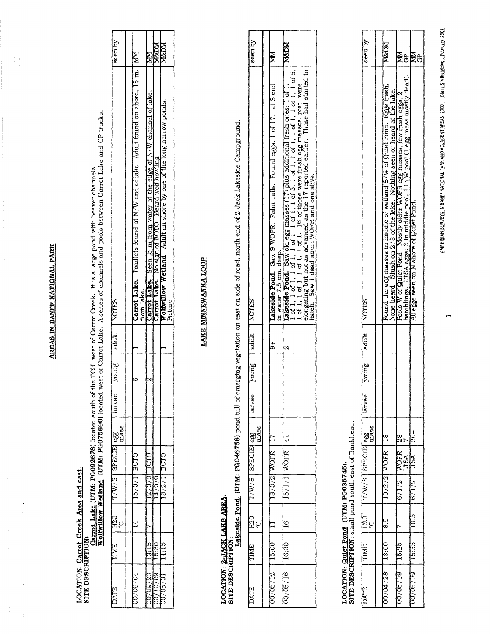**AREAS IN BANFF NATIONAL PARK**  AREAS IN BANFF NATIONAL PARK

> **LOCATION: Carrot Creek Area and east.**  LOCATION: Carrot Creek Area and east.<br>SITE DESCRIPTION:

 $\ddot{\phantom{0}}$ 

 $\ddot{\cdot}$  $\frac{1}{2}$  **SITE DESCRIPTION: Carrot Lake (UTM: PG092678)** located south of the TCH. west of Carrot Creek. It is a large pond with beaver channels.

Carrot Lake (UTM: PG092678) located south of the TCH, west of Carrot Creek. It is a large pond with beaver channels.<br>Wolfwillow Wetland (UTM: PG075690) located west of Carrot Lake. A series of channels and pools between Ca **Wolfwillow Wetland (UTM: PG075690)** located west of Carrot Lake. A series of channels and pools between Carrot Lake and CP tracks.

| seen by              |                                                                                                |                                  | <b>A&amp;DM</b> | VCP31                                                                                                                                                                                                       |
|----------------------|------------------------------------------------------------------------------------------------|----------------------------------|-----------------|-------------------------------------------------------------------------------------------------------------------------------------------------------------------------------------------------------------|
| NOTES                | Carrot Lake. Toadlets found at N/W end of lake. Adult found on shore, 15 m. [ MM<br>from lake. |                                  |                 | Carrot Lake. Seen 5 m from water at the edge of N/W channel of lake.<br>Carrot Lake. No sign of BOTO. Heard wolf howling.<br>Wolfwillow Wetland. Adult on shore by one of the long narrow ponds.<br>Picture |
| adult                |                                                                                                |                                  |                 |                                                                                                                                                                                                             |
| Sunof.               | ဖ                                                                                              |                                  |                 |                                                                                                                                                                                                             |
| <b>Tarvae</b>        |                                                                                                |                                  |                 |                                                                                                                                                                                                             |
| mass                 |                                                                                                |                                  |                 |                                                                                                                                                                                                             |
| $7/W/S$ SPECIE $egg$ |                                                                                                | DOIC<br>B                        |                 | <u>L BOLO</u>                                                                                                                                                                                               |
|                      |                                                                                                | 72/0/0                           |                 |                                                                                                                                                                                                             |
|                      |                                                                                                |                                  |                 |                                                                                                                                                                                                             |
| TIME 120             |                                                                                                | 13.15                            | 15:80           | <b>14:15</b>                                                                                                                                                                                                |
| DATE                 | 00/09/04                                                                                       | 00/09/23<br>00/10/09<br>00/05/31 |                 |                                                                                                                                                                                                             |

## LAKE MINNEWANKA LOOP **LAKE MINNEWANKA LOOP**

### **LOCATION: 2·JACK LAKE AREA.**  LOCATION: 2-JACK LAKE AREA.<br>SITE DESCRIPTION: **SITE DESCRIPTION:**

Lakeside Pond. (UTM: PG046758) pond full of emerging vegetation on east on side of road, north end of 2 Jack Lakeside Campground. **Lakeside pond. (UTM: PG046758)** pond full of emel'ging vegetation on east on side of road. north end of 2 Jack Lakeside Campground.

| seen by                     |                                                                       |                        | M&DM                                                                                                                                                                                                                                     |  |                                                                                                                                |  |
|-----------------------------|-----------------------------------------------------------------------|------------------------|------------------------------------------------------------------------------------------------------------------------------------------------------------------------------------------------------------------------------------------|--|--------------------------------------------------------------------------------------------------------------------------------|--|
|                             | Lakeside Pond. Saw 9 WOFR. Faint calls. Found eggs, 1 of 17, at S end | in water 7.5 cm. deep. | <b>Lakeside Pond.</b> Saw old egg masses $(17)$ plus additional fresh ones; 1 of 1, 1<br>1 of 1, 1 of 1, 1 of 1, 1 of 1, 1 of 1, 1 of 5, 1 of 1, 1 of 1, 1 of 1, 1 of 1, 1 of 5, 1<br>1 of 1, 1 of 1, 1 of 1, 1 of 1. 16 of those were f |  | elongating but not as advanced as the 17 reported earlier. Those had started to<br>hatch. Saw 1 dead adult WOFR and one alive. |  |
|                             |                                                                       |                        |                                                                                                                                                                                                                                          |  |                                                                                                                                |  |
| [young   adult   NOTES      |                                                                       |                        |                                                                                                                                                                                                                                          |  |                                                                                                                                |  |
| larvae                      |                                                                       |                        |                                                                                                                                                                                                                                          |  |                                                                                                                                |  |
| $1.77W/S$ SPECIE egg $1.44$ |                                                                       |                        |                                                                                                                                                                                                                                          |  |                                                                                                                                |  |
|                             |                                                                       |                        |                                                                                                                                                                                                                                          |  |                                                                                                                                |  |
|                             |                                                                       |                        |                                                                                                                                                                                                                                          |  |                                                                                                                                |  |
| ጅያ<br>                      |                                                                       |                        |                                                                                                                                                                                                                                          |  |                                                                                                                                |  |
| TIME                        |                                                                       |                        |                                                                                                                                                                                                                                          |  |                                                                                                                                |  |
| DATE                        | 1/05/02                                                               |                        | 0/05/16                                                                                                                                                                                                                                  |  |                                                                                                                                |  |

# LOCATION: **Quiet Pond** (UTM: PGO35745).<br>SITE DESCRIPTION: small pond south east of Bankhead. **LOCATION: Quiet Pond (UTM: PG035745).**

**SITE DESCRIPTION:** small pond south east of Bankhead.

| seen by         | <b>M&amp;DM</b>                                                            |                                                                                                                                                                                                                                                                                                                                                                                                       |                                               |
|-----------------|----------------------------------------------------------------------------|-------------------------------------------------------------------------------------------------------------------------------------------------------------------------------------------------------------------------------------------------------------------------------------------------------------------------------------------------------------------------------------------------------|-----------------------------------------------|
| I NOTES         | Found the egg masses in middle of wetland $S/W$ of Quiet Pond. Eggs fresh. | None heard. Slush on 2/3 of the lake. Nothing seen or heard at the lake.<br>Pools W of Quiet Pond. Mostly older WOFR egg masses, few fresh eggs, 2<br>hatchlings. LTSA eggs: 6 in middle pool, 1 in W pool (1 egg mass mostly dead).                                                                                                                                                                  | පි<br>All eggs seen on N shore of Quiet Pond. |
|                 |                                                                            |                                                                                                                                                                                                                                                                                                                                                                                                       |                                               |
| I young   adult |                                                                            |                                                                                                                                                                                                                                                                                                                                                                                                       |                                               |
| larvae          |                                                                            |                                                                                                                                                                                                                                                                                                                                                                                                       |                                               |
| ने egg<br>mass  |                                                                            |                                                                                                                                                                                                                                                                                                                                                                                                       |                                               |
|                 |                                                                            |                                                                                                                                                                                                                                                                                                                                                                                                       |                                               |
| T/W/S SPECIE    | 10/2/2 WOFR                                                                | $\begin{array}{ c c c c c c c } \hline \rule{0pt}{2ex} & \rule{0pt}{2ex} \rule{0pt}{2ex} \rule{0pt}{2ex} \rule{0pt}{2ex} & \rule{0pt}{2ex} \rule{0pt}{2ex} \rule{0pt}{2ex} \rule{0pt}{2ex} & \rule{0pt}{2ex} \rule{0pt}{2ex} \rule{0pt}{2ex} & \rule{0pt}{2ex} \rule{0pt}{2ex} \rule{0pt}{2ex} & \rule{0pt}{2ex} \rule{0pt}{2ex} \rule{0pt}{2ex} & \rule{0pt}{2ex} \rule{0pt}{2ex} \rule{0pt}{2ex} &$ |                                               |
| $\frac{1}{2}$   |                                                                            |                                                                                                                                                                                                                                                                                                                                                                                                       |                                               |
| TIME.           |                                                                            | 97:91                                                                                                                                                                                                                                                                                                                                                                                                 |                                               |
| DATE            | $0.04/28$ 13:00 8.5                                                        | 70/05/09                                                                                                                                                                                                                                                                                                                                                                                              | $00/05/09$   15:55                            |

AMPHIBIAN SURVEYS IN BANFF NATIONAL PARK AND ADJACENT AREAS, 2000 Diane & Mike McNor, February, 2001 AMPHIBIAN SURVEYS IN BANFF NATIONAL PARK AND ADJACENT AREAS 2000 Diane & Mike Mcivor. february, 2001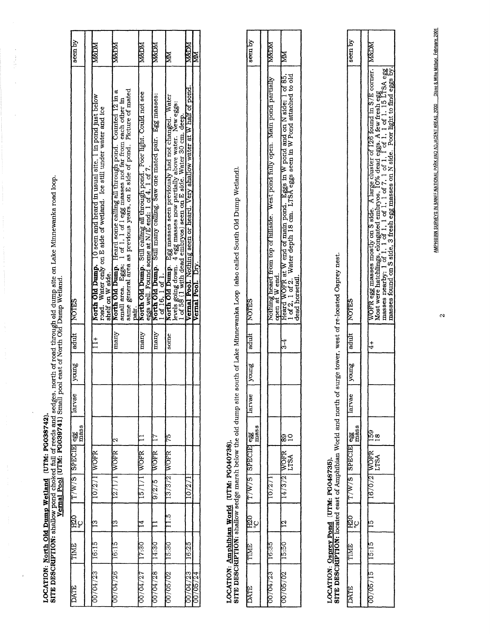**LOCATION: North Old Dump Wetland (UTM: PG038742).** 

LOCATION: <u>North Old Dump Wetland</u> (UTM: PG038742).<br>SITE DESCRIPTION: shallow pond choked full of reeds and sedges, north of road through old dump site on Lake Minnewanka road loop.<br>Next and Mercent Maria Road (UTM: PG0397 **SITE DESCRIPTION:** shallow pond choked full of reeds and sedges. north of road through old dump site on Lake Minnewanka road loop. **Vernal Pool (UTM: PG039741)** Small pool east of North OlcfDump Wetland.

**The Second State** 

| seen by               | <b>M&amp;DM</b>                                                                                                                                                   | M&DM                                                                                                                                                                                                                               | M&DM                                                                                                                              | <b>M&amp;DM</b>                                                                       | ŽМ                                                                                                                                                                                                            | <b>M&amp;DM</b>                                                           | ŠМ                |
|-----------------------|-------------------------------------------------------------------------------------------------------------------------------------------------------------------|------------------------------------------------------------------------------------------------------------------------------------------------------------------------------------------------------------------------------------|-----------------------------------------------------------------------------------------------------------------------------------|---------------------------------------------------------------------------------------|---------------------------------------------------------------------------------------------------------------------------------------------------------------------------------------------------------------|---------------------------------------------------------------------------|-------------------|
| I NOTES               | North Old Dump. 10 seen and heard in usual site, 1 in pond just below<br>road. Water only on E side of wetland. Ice still under water and ice<br>shelf on W side. | same general area as previous years, on E side of pond. Picture of mated<br>North Old Dump. Heard some calling all through pond. Counted 12 in a<br>small area. Eggs: 1 of 1, 1 of 1 egg masses not far from each other in<br>Dair | North Oid Dump. Still calling all through pond. Poor light. Could not see<br>eggs well. Found some at N/E end: 1 of $4$ , 1 of 7. | North Old Dump. Still many calling, Saw one mated pair. Egg masses:<br>of 16, 1 of 1. | North Old Dump. Egg masses seen previously had not changed. Water<br>levels going down. 4 egg masses now partially above water. New eggs:<br>1 of 58 (1 with dead embryos) seen on E side. Water 30 cm, deep. | Vernal Pool. Nothing seen or heard. Very shallow water at W half of pond. | Vernal Pool. Drv. |
| adult                 |                                                                                                                                                                   | many                                                                                                                                                                                                                               | many                                                                                                                              | many                                                                                  | some                                                                                                                                                                                                          |                                                                           |                   |
| young                 |                                                                                                                                                                   |                                                                                                                                                                                                                                    |                                                                                                                                   |                                                                                       |                                                                                                                                                                                                               |                                                                           |                   |
| larvae                |                                                                                                                                                                   |                                                                                                                                                                                                                                    |                                                                                                                                   |                                                                                       |                                                                                                                                                                                                               |                                                                           |                   |
| mass                  |                                                                                                                                                                   |                                                                                                                                                                                                                                    |                                                                                                                                   | $\overline{17}$                                                                       |                                                                                                                                                                                                               |                                                                           |                   |
|                       |                                                                                                                                                                   | $12/1/1$ WOFR 12                                                                                                                                                                                                                   |                                                                                                                                   |                                                                                       |                                                                                                                                                                                                               |                                                                           |                   |
| $T1/W/S$ SPECIE $egg$ | 10/2/1 WOFR                                                                                                                                                       |                                                                                                                                                                                                                                    | 15/1711 WOFR 1                                                                                                                    | $9/2/5$ (WOFR)                                                                        | 13/3/21 WOFR 175                                                                                                                                                                                              | 10/27                                                                     |                   |
| $\frac{1}{2}$         | $\frac{3}{2}$                                                                                                                                                     | $\frac{3}{2}$                                                                                                                                                                                                                      | $\tilde{\Gamma}_4$                                                                                                                |                                                                                       | 11.5                                                                                                                                                                                                          |                                                                           |                   |
| TIME                  | 16:15                                                                                                                                                             |                                                                                                                                                                                                                                    |                                                                                                                                   | 14:30                                                                                 | 15:30                                                                                                                                                                                                         | 16:25                                                                     |                   |
| DATE                  | 00/04/23                                                                                                                                                          | $00/04/26$ 16:15                                                                                                                                                                                                                   | $00/04/27$   17:30                                                                                                                | 00/04/28                                                                              | 00/05/02                                                                                                                                                                                                      | 00/04/23                                                                  | 00/05/24          |

# **LOCATION: Amphibian World (UTM: PG040738).**

LOCATION: Amphibian World (UTM: PGO40738).<br>SITE DESCRIPTION: shallow sedge marsh below the old dump site south of Lake Minnewanka Loop (also called South Old Dump Wetland). **SITE DESCRIPTION:** shallow sedge marsh below the old dump site south of Lake Minnewanka Loop (also called South Old Dump Wetland).

| seen by                                                             | <b>M&amp;DM</b>                                                                                 |                                                                                                                                                                              |
|---------------------------------------------------------------------|-------------------------------------------------------------------------------------------------|------------------------------------------------------------------------------------------------------------------------------------------------------------------------------|
| young   adult   NOTES                                               | Nothing heard from top of hillside. West pond fully open. Main pond partially<br>open at W end. | deard WOFR at W end of main pond. Eggs in W pond and on N side; 1 of 85. NM<br>1 of 2, 1 of 2. Water depth 18 cm. LTSA eggs seen in W Pond attached to old<br>dead horsetail |
|                                                                     |                                                                                                 | $\frac{4}{5}$                                                                                                                                                                |
|                                                                     |                                                                                                 |                                                                                                                                                                              |
| larvae                                                              |                                                                                                 |                                                                                                                                                                              |
|                                                                     |                                                                                                 |                                                                                                                                                                              |
|                                                                     |                                                                                                 | $\frac{14/3/2}{1480}$ WOFR 189                                                                                                                                               |
| $\frac{\text{seur}}{\text{go}}$ and $\frac{\text{seur}}{\text{go}}$ |                                                                                                 |                                                                                                                                                                              |
| ਨਨ।<br>07H                                                          |                                                                                                 |                                                                                                                                                                              |
| TIME                                                                |                                                                                                 |                                                                                                                                                                              |
| DATE                                                                | $0/04/23$ 16:35                                                                                 | 0/05/02 15:50                                                                                                                                                                |

# **LOCATION: Osprey Pond** (UTM: **PG048735).**

LOCATION: Osprey Pond (UTM: PG048735).<br>SITE DESCRIPTION: located east of Amphibian World and north of surge tower, west of re-located Osprey nest. **SITE DESCRIPTION:** located east of Amphibian World and north of surge tower, west of re-Iocated Osprey nest.

| seen by       |                                                                                                                                                                                                                                                                                                                       |
|---------------|-----------------------------------------------------------------------------------------------------------------------------------------------------------------------------------------------------------------------------------------------------------------------------------------------------------------------|
|               | WOFR egg masses mostly on S side. A large cluster of 126 found in S/E corner.   M&DM<br>Most were hatchlings, elongated embryos, $10\%$ dead eggs. A few fresh egg masses nearby; 1 of 1, 1 of 1, 1 of 7, 1 of 1, 1 of 1, 1 of 1, 1 of 1, 1 of 1, 1 of 1, 1 of 1, 1 of 1, 1 of 1, 1 of 1, 1 of 1, 1 of 1, 1 of 1, 1 o |
|               | $\frac{1}{4}$                                                                                                                                                                                                                                                                                                         |
| soung ladult  |                                                                                                                                                                                                                                                                                                                       |
| larvae        |                                                                                                                                                                                                                                                                                                                       |
| । egg<br>mass |                                                                                                                                                                                                                                                                                                                       |
|               | TSA                                                                                                                                                                                                                                                                                                                   |
|               |                                                                                                                                                                                                                                                                                                                       |
|               |                                                                                                                                                                                                                                                                                                                       |
|               |                                                                                                                                                                                                                                                                                                                       |
|               |                                                                                                                                                                                                                                                                                                                       |

AMPHIBIAN SURVEYS IN BANFF NATIONAL PARK AND ADJACENT AREAS, 2000 Diane & Mike Michor. February, 2001 AMPHIBIAN SURVEYS IN BANFF NATIONAL PARKANQ ADJACENT AREAS 2000 Diane & Mike Mcivor February,2001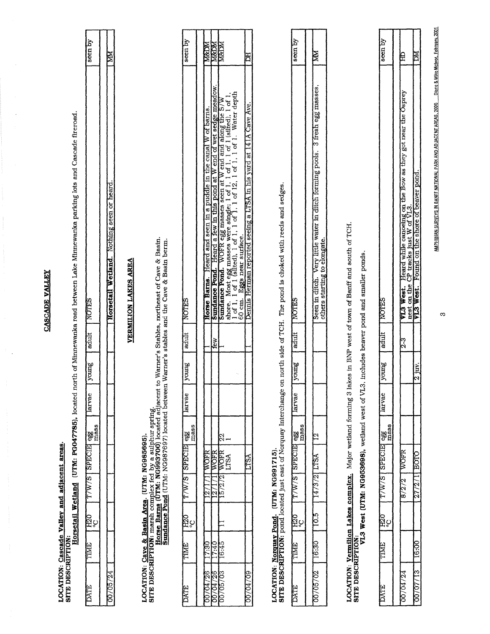| <b>NOTES</b><br>adult<br>young<br>larvae<br>egg<br>mass<br><b>SPECIE</b><br>1.5/M/L<br>्<br>नेट<br>TIME                                                                                                                                                                                                      | seen by                 |  |
|--------------------------------------------------------------------------------------------------------------------------------------------------------------------------------------------------------------------------------------------------------------------------------------------------------------|-------------------------|--|
| Horsetail Wetland. Nothing seen or heard                                                                                                                                                                                                                                                                     | ÌМ                      |  |
| VERMILION LAKES AREA                                                                                                                                                                                                                                                                                         |                         |  |
| <b>SITE DESCRIPTION:</b> marsh complex fed by a sulphur spring.<br>Horse Harry (UTM: NG993700) located adjacent to Warner's Stables, northeast of Cave & Basin.<br>Sundance Pond (UTM: NG987697) located between Warner's stables and the<br>LOCATION: Cave & Basin Area. (UTM: NG985695).                   |                         |  |
| NOTES<br>adult<br>Young<br>larvae<br>egg<br>mass<br><b>SPECIE</b><br>2/M/1<br>g<br>≌<br>TIME                                                                                                                                                                                                                 | seen by                 |  |
| <b>Horse Barns.</b> Heard and seen in a puddle in the canal W of barns.<br>few<br>WOFR<br>WOFR<br>127<br>$\overline{\mathbf{c}}$<br>01:40<br>(7.30                                                                                                                                                           | <b>M&amp;DM</b><br>MGRW |  |
| <b>Sundance Pond.</b> Heard a few in this pond at W end of wet sedge meadow.<br><b>Sundance Pond.</b> WOFR egg masses seen at W end and along the S/W<br>shore. Most egg masses were single: 1 of 1, 1 of 1, 1 of 1 (silted), 1 of 1,<br>1 of 1,<br>60 cm.<br>ನೆ -<br>WOFR<br><b>LTSA</b><br>15/2/2<br>16:45 | M&DM                    |  |
| Dennis Herman reported seeing a LTSA in his yard at 141A Cave Ave.<br>Eggs near surface.<br>LTSA                                                                                                                                                                                                             | F                       |  |
| SITE DESCRIPTION: pond located just east of Norquay Interchange on north side of TCH. The pond is choked with reeds and sedges.<br>LOCATION: Norquay Pond. [UTM: NG991715]                                                                                                                                   |                         |  |
| NOTES<br>adult<br>young<br>larvae<br>mass<br>egg<br>$T/W/S$ SPECIE<br>ದ<br>ದೇ<br>TIME                                                                                                                                                                                                                        | seen by                 |  |
| Seen in ditch. Very little water in ditch forming pools. 3 fresh egg masses,<br>others starting to elongate.<br>$\overline{51}$<br>LTSA<br>14/3/2<br>$\frac{10}{2}$<br>16:30                                                                                                                                 | MИ                      |  |

**CASCADE VALLEY** 

CASCADE VALLEY

LOCATION: <u>Vermilion Lakes complex.</u> Major wetland forming 3 lakes in BNP west of town of Banff and south of TCH.<br>SITE DESCRIPTION: W13 West (UTM: NG953698), wetland west of VL3. includes beaver pond and smaller ponds. **LOCATION: Vermilion Lakes complex.** Major wetland forming 3 lakes in BNP west of town of Banff and south of TCH. **SITE DESCRIPTION:** 

**VL3 West (UTM: NG953698).** wetland west of VL3, includes beaver pond and smaller ponds.

| seen by               | $\frac{a}{1}$                                                                 |                                                                                      |
|-----------------------|-------------------------------------------------------------------------------|--------------------------------------------------------------------------------------|
| voung   adult   NOTES | <b>TVL3 West.</b> Heard while canoeing on the Bow as they got near the Osprey | nest on the CP tracks just W of VL3.<br>VL3 West. Found on the shore of beaver pond. |
|                       | က<br>လ                                                                        |                                                                                      |
|                       |                                                                               |                                                                                      |
| larvae                |                                                                               |                                                                                      |
| egg<br>mass           |                                                                               | ううり                                                                                  |
| $\frac{3}{5}$         |                                                                               |                                                                                      |
|                       |                                                                               |                                                                                      |
|                       |                                                                               |                                                                                      |

AMPHIBIAN SURVEYS IN BANFF NATIONAL PARK AND AD MCENT AREAS, 2000 Dians & Mike McIvor. February, 2001 AMPHIBIAN SURVEYS IN BANFF NATIONAl PARK AND ADJACENT AREAS. 200Q Diane & Mike Mcivor. Febrnary 2001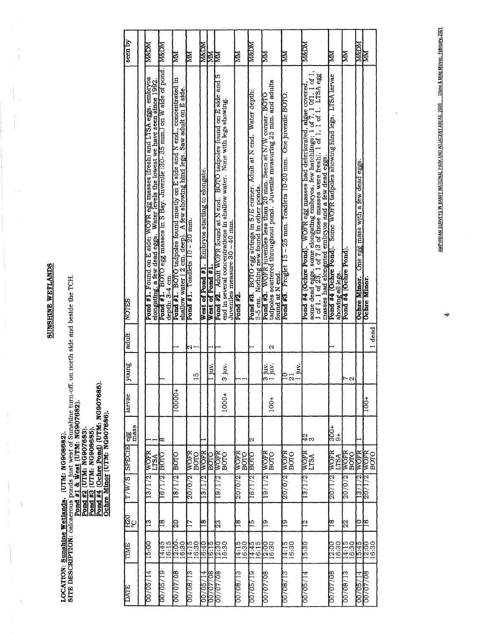### **SUNSHINE WEILANDS** SUNSHINE WETLANDS

LOCATION: Sunshine Wetlands. (UTM: NG908682).

LOCATION: Sunshine Wetlands. (UTM: NG908682).<br>SITE DESCRIPTION: calcaerous ponds just west of Sunshine turn-off, on north side and beside the TCH.<br>SITE DESCRIPTION: calcaerous pond #1 & West (UTM: NG907682).<br>Pond #2 (UTM: SITE DESCRIPTION: calcaerous ponds just west of Sunshine turn-off, on north side and beside the TCH. Pond #1 & West (UTM: NG907682). Pond #2 (UTM: NG907683).

Pond #3 (UTM: NG908685). Pond #4 (Ochre Pond) (UTM: NG907685).

Ochre Minor (UTM: NG907686).

| seen by        | <b>M&amp;DM</b>                                                                              | <b>M&amp;DM</b>                                                                                                                                                                         | ÑМ                                                                                                                                                            | Μ                               | <b>MGRYN</b>                                      | ZМ               | ΜИ                                                                                                                                                                                         | ΜМ                  | <b>MGPN</b>                                                           | ķ                                                                                                                                                                                                                     | ΜИ                                                                        | MGRW                                                                                                                                                                                                                                                                                       | ŘИ                                                                                           | MМ                    | MGRAN                                           | ŠЕ                    |
|----------------|----------------------------------------------------------------------------------------------|-----------------------------------------------------------------------------------------------------------------------------------------------------------------------------------------|---------------------------------------------------------------------------------------------------------------------------------------------------------------|---------------------------------|---------------------------------------------------|------------------|--------------------------------------------------------------------------------------------------------------------------------------------------------------------------------------------|---------------------|-----------------------------------------------------------------------|-----------------------------------------------------------------------------------------------------------------------------------------------------------------------------------------------------------------------|---------------------------------------------------------------------------|--------------------------------------------------------------------------------------------------------------------------------------------------------------------------------------------------------------------------------------------------------------------------------------------|----------------------------------------------------------------------------------------------|-----------------------|-------------------------------------------------|-----------------------|
| NOTES          | $\overline{\text{Pool}}$ #1. Found on E side; WOFR egg masses (fresh) and LTSA eggs, embryos | elongating, a few dead eggs. Water levels the lowest we have seen since $1992$ .<br><b>Pond #1.</b> BOTO egg masses in S Bay. Juvenile (30-35 mm.) on W side of pond.<br>depth: 3-4 cm. | <b>Pond #1.</b> BOTO tadpoles found mostly on E side and N end., concentrated in<br>shallow water (2 cm. deep). A few showing hind legs. Saw adult on E side. | Pond #1. Toadlets $10 - 20$ mm. | Embryos starting to elongate.<br>West of Pond #1. | West of Pond #1. | <b>Pond #2.</b> Adult WOFR found at N end. BOTO tadpoles found on E side and S<br>end in several concentrations in shallow water. None with legs showing.<br>Juveniles measure 30 - 40 mm. | Pond $#2$ .         | Pond #3. BOTO egg strings in S/E corner. Adult at N end. Water depth: | tadpoles scattered throughout pond. Juvenile measuring 25 mm. and adults<br>3-5 cm. Nothing new found in other ponds.<br><b>Pond #3. WO</b> FR juveniles less than 20 mm. Seen at N/W corner. BOTO<br>found at N end. | <b>Pond #3.</b> Froglet 15 - 25 mm. Toadlets 10-20 mm. One juvenile BOTO. | <b>Fond #4 (Ochre Pond).</b> WOFR egg masses had deteriorated, algae covered,<br>some dead eggs, some elongating embryos, few hatchlings; 1 of $7$ , 1 Of1, 1 of 1, 1 of 1, 1 of 23, 1 of 7 (3 of those masses were fresh), 1 of 1, 1<br>masses had elongated embryos and a few dead eggs. | Pond #4 (Ochre Pond). Some WOFR tadpoles showing hind legs. LTSA larvae<br>showing all legs. | Pond #4 (Ochre Pond). | Ochre Minor. One egg mass with a few dead eggs. | <b>Ochre Minor</b>    |
| adult          |                                                                                              |                                                                                                                                                                                         |                                                                                                                                                               | U,                              |                                                   |                  |                                                                                                                                                                                            |                     |                                                                       | Q                                                                                                                                                                                                                     |                                                                           |                                                                                                                                                                                                                                                                                            |                                                                                              |                       |                                                 | 1 dead                |
| young          |                                                                                              |                                                                                                                                                                                         |                                                                                                                                                               | $\frac{5}{1}$                   |                                                   | juv.             | 3 juv.                                                                                                                                                                                     |                     |                                                                       | 3 juv.<br>1 juv.                                                                                                                                                                                                      | iuv.<br>$\Xi$<br>$\overline{a}$                                           |                                                                                                                                                                                                                                                                                            |                                                                                              | - 9                   |                                                 |                       |
| larvae         |                                                                                              |                                                                                                                                                                                         | 10000+                                                                                                                                                        |                                 |                                                   |                  | 1000+                                                                                                                                                                                      |                     |                                                                       | 100+                                                                                                                                                                                                                  |                                                                           |                                                                                                                                                                                                                                                                                            |                                                                                              |                       |                                                 | $100+$                |
| egg<br>mass    |                                                                                              | ఱ                                                                                                                                                                                       |                                                                                                                                                               |                                 |                                                   |                  |                                                                                                                                                                                            |                     | $\scriptstyle\sim$                                                    |                                                                                                                                                                                                                       |                                                                           | ಧ್ಯ<br>ಸ                                                                                                                                                                                                                                                                                   | $300+$                                                                                       |                       |                                                 |                       |
| <b>SPECIE</b>  | WOFR                                                                                         | <b>LTSA</b><br>BOTO                                                                                                                                                                     | <b>DOLO</b>                                                                                                                                                   | WOFR<br><b>BOTO</b>             | WOFR                                              | <b>BOTO</b>      | <b>WOFR</b><br>BOTO                                                                                                                                                                        | <b>WOFR</b><br>BOTO |                                                                       | WOFR<br>BOTO                                                                                                                                                                                                          |                                                                           | WOFR<br>LISA                                                                                                                                                                                                                                                                               | WOFR<br>LTSA                                                                                 | WOFR<br>BOTO          |                                                 | WOFR<br>WOFR<br>BOTO  |
| T/W/S          | 13/1/2                                                                                       | 6/1/2                                                                                                                                                                                   | 18/1/21                                                                                                                                                       | 20/0/2                          | Ņ<br>$\tilde{\mathfrak{G}}$                       |                  | 19/1/2                                                                                                                                                                                     | 20/0/2              | [6/1/2                                                                | 19/1/2                                                                                                                                                                                                                | 20/0/2 WOFR                                                               | 13/1/21                                                                                                                                                                                                                                                                                    | 20/1/2                                                                                       | 20/0/2                | 13/1/2                                          | 20/1/2                |
| $\frac{50}{2}$ | E                                                                                            | ≌                                                                                                                                                                                       | ₿                                                                                                                                                             |                                 | g                                                 |                  | ₨                                                                                                                                                                                          | ⊵                   | Þ                                                                     | င္ဘြ                                                                                                                                                                                                                  | ⊵                                                                         | ⊵                                                                                                                                                                                                                                                                                          | βŽ                                                                                           | k3                    | $\overline{C}$                                  | ⊵                     |
| TIME           | 15:00                                                                                        | 14:45<br>16:15                                                                                                                                                                          | 12:00-<br>16:30                                                                                                                                               | 14:15<br>16:30                  | 16:40                                             | 16:15            | 12:30<br>16:30                                                                                                                                                                             | 14:15<br>16:30      | 14:45<br>16:15                                                        | 12:00<br>16:30                                                                                                                                                                                                        | 14:15<br>16:30                                                            | 15.30                                                                                                                                                                                                                                                                                      | $\frac{12:00}{16:30}$                                                                        | 14:15<br>16:30        |                                                 | $\frac{15:45}{12:30}$ |
| <b>JUVO</b>    | 00/05/14                                                                                     | 00/05/19                                                                                                                                                                                | 00/07/08                                                                                                                                                      | 00/08/13                        | 00/05/                                            | 00/07/08         | 00/07/08                                                                                                                                                                                   | 00708713            | 00/05/19                                                              | 00/07/08                                                                                                                                                                                                              | 00/08/13                                                                  | 00/05/14                                                                                                                                                                                                                                                                                   | 00/07/08                                                                                     | 00/08/13              | 00/05/14                                        | 00/0708               |

AMPHIBIAN SURVEYS IN BANFF NATIONAL PARK AND ADJACENT AREAS, 2000. Diane & Mike Monor, February 2001 AMPHIBIAN SURVEYS IN BANFF NATIONAL PARKAND ADJACENT AREAS, 2000 Diane & Mike Mcivor, FebrUary,200l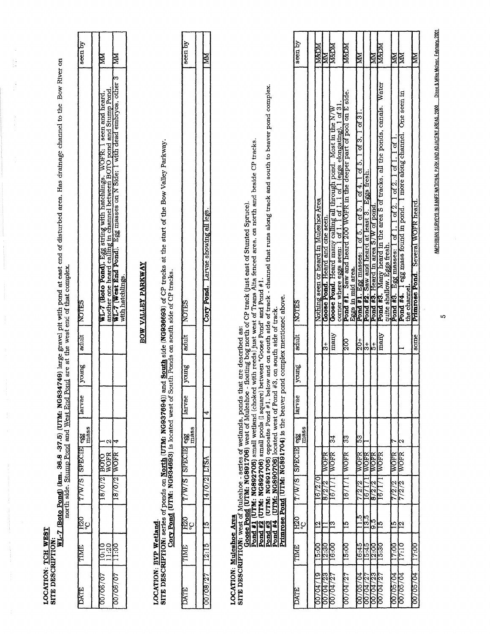LOCATION: TCH WEST **LOCATION: TCH WEST**<br>SITE DESCRIPTION: SITE DESCRIPTION:

WL-7 (Boto Pond) (km. 36.8 .37.5) (UTM: NG834749) large gravel pit with pond at east end of disturbed area. Has drainage channel to the Bow River on WL-7 [Boto Pond] (km. 36.8 -37.5) (UTM: NG834749) large gravel pit with pond at east end of disturbed area. Has drainage channel to the Bow River on<br>north side. Stump Pond and <u>West End Pond</u> are at the west end of that co north side. Stump Pond and West End Pond are at the west end of that complex.

 $\frac{1}{2}$  .

|      |  | SPECIE egg | mass | arvae | young | l adult |                                                                                                                                                    | seen by |
|------|--|------------|------|-------|-------|---------|----------------------------------------------------------------------------------------------------------------------------------------------------|---------|
|      |  |            |      |       |       |         |                                                                                                                                                    |         |
|      |  |            |      |       |       |         | WL-7 (Boto Pond). Egg string with hatchlings. WOFR: I seen and heard,                                                                              |         |
| 1:20 |  | VOFR       |      |       |       |         | another one heard calling in channel between BOTO pond and Stump Pond.<br>WL-7 (West Bnd Pond). Egg masses on N Side: I with dead embryos, other 3 |         |
|      |  |            |      |       |       |         |                                                                                                                                                    |         |
|      |  |            |      |       |       |         | with hatchlings                                                                                                                                    |         |

## BOW VALLEY PARKWAY BOW VALLEY PARKWAY

# LOCATION: BVP Wetland.

LOCATION: <u>BVP Wetland</u>.<br>SITE DESCRIPTION: series of ponds on <u>North</u> (UTM: NG937694)) and <u>South</u> side (NG936693) of CP tracks at the start of the Bow Valley Parkway.<br><u>Cory Pond</u> (UTM: NG934693) is located west of South P SITE DESCRIPTION: series of ponds on North (UTM: NG937694)) and South side (NG936693) of CP tracks at the start of the Bow Valley Parkway.

Cory Pond (UTM: NG934693) is located west of South Ponds on south side of CP tracks.

|                        |                                                                                                                | l               |
|------------------------|----------------------------------------------------------------------------------------------------------------|-----------------|
| <b>CAGAT</b><br>{<br>} |                                                                                                                | ١               |
| i<br>İ                 |                                                                                                                |                 |
|                        | <br> <br> <br>                                                                                                 |                 |
| <br> <br> <br>         |                                                                                                                |                 |
|                        |                                                                                                                |                 |
|                        |                                                                                                                |                 |
|                        |                                                                                                                |                 |
|                        |                                                                                                                |                 |
|                        |                                                                                                                |                 |
|                        | a shekara 1992 ya Tsansan ya Tsansan ya Tsansan ya Tsansan ya Tsansan ya Tsansan ya Tsansan ya Tsansan ya Tsan |                 |
|                        |                                                                                                                | artroe chouring |
|                        |                                                                                                                | Le su<br>i      |
|                        |                                                                                                                |                 |
| <br> <br>              |                                                                                                                | Cory Pond.      |
|                        |                                                                                                                |                 |
| <br> <br>              |                                                                                                                |                 |
| j                      |                                                                                                                |                 |
| arvae                  |                                                                                                                |                 |
| mass<br>9              |                                                                                                                |                 |
| m /tɪ / c l c nm /t    |                                                                                                                |                 |
|                        |                                                                                                                |                 |
|                        |                                                                                                                |                 |
| $\tilde{\zeta}$<br>i   |                                                                                                                |                 |
| <br> <br>              |                                                                                                                |                 |
| <br> <br>              |                                                                                                                |                 |
| $\frac{1}{2}$          |                                                                                                                |                 |

## LOCATION: Muleshoe Area LOCATION: Muleshoe Area

SITE DESCRIPTION: west of Muleshoe - series of wetlands. ponds that are described as:

Goose Pond (UTM: NG891706) west of Muleshoe - floating bog north of CP track (just east of Stunted Spruce).

Pond **#l** (UTM: NG892705) small wetland (choked with reeds) just west of Trans Alta fenced area, on north and beside CP tracks.

Pond #2 (UTM: NG892706) small pools (1 square) between "Goose Pond" and Pond #1.

**SITE DESCRIPTION:** west of Muleshoe - series of weilands, ponds that are described as:<br>**SITE DESCRIPTION:** west of Muleshoe - series of witheshoe - floating bog north of CP track (just east of Stunted Spruce).<br>**Pond #1 (U** Pond #3 (UTM: NG891705) opposite Pond #1, below and on south side of track - channel that runs along track and south to beaver pond complex. Pond #4 [UTM: NG890706] located west of Pond #3, on south side of track.

Primrose Pond (UTM: NG891704) is the beaver pond complex mentioned above.

| seen by             | <b>M&amp;DM</b>                        | MИ                              | <b>M&amp;DM</b>                                                                                                                                       | M&DM                                                                  |                   | Σ                                                                           |                                               |                                    | M&DM                                                                      |                           | Š                                                                                                                               | MИ                                                                   |             | <b>NEX</b>                               |
|---------------------|----------------------------------------|---------------------------------|-------------------------------------------------------------------------------------------------------------------------------------------------------|-----------------------------------------------------------------------|-------------------|-----------------------------------------------------------------------------|-----------------------------------------------|------------------------------------|---------------------------------------------------------------------------|---------------------------|---------------------------------------------------------------------------------------------------------------------------------|----------------------------------------------------------------------|-------------|------------------------------------------|
|                     | Nothing seen or heard in Muleshoe Area | Goose Pond. Heard and one seen. | <b>Goose Pond.</b> Heard many calling all through pond. Most in the N/W<br>corner where eggs seen: 1 of 1, 1 of 1, 1 of 1 (eggs elongating), 1 of 31. | Pond #1. Saw and heard 200 WOFR in the deeper part of pool on E side. | Eggs in mid area. | <b>Pond #1.</b> Egg masses; 1 of 5, 1 of 5, 1 of 4, 1 of 5, 1 of 3, 1 of 31 | Pond #2. Saw and heard at least 3. Eggs fresh | Pond #3. Heard in area S/W of pond | Pond #3. Many heard in the area S of tracks, all the ponds, canals. Water | quite shallow. Eggs fresh | <b>Pond #3.</b> Egg masses: $1 \text{ of } 1$ , $1 \text{ of } 2$ , $1 \text{ of } 2$ , $1 \text{ of } 1$ , $1 \text{ of } 1$ . | Pond #4. 1 egg mass found in pond. 1 more along channel. One seen in | the channel | <b>Primrose Pond.</b> Several WOFR heard |
| adult   NOTES       |                                        | $\frac{1}{3}$                   | many                                                                                                                                                  | 200                                                                   |                   | $\frac{1}{20}$                                                              | $\frac{1}{3}$                                 | ι5<br>Φ                            | many                                                                      |                           |                                                                                                                                 |                                                                      |             | some                                     |
| young               |                                        |                                 |                                                                                                                                                       |                                                                       |                   |                                                                             |                                               |                                    |                                                                           |                           |                                                                                                                                 |                                                                      |             |                                          |
| larvae              |                                        |                                 |                                                                                                                                                       |                                                                       |                   |                                                                             |                                               |                                    |                                                                           |                           |                                                                                                                                 |                                                                      |             |                                          |
| mass                |                                        |                                 |                                                                                                                                                       | F 33                                                                  |                   | - 53                                                                        |                                               |                                    |                                                                           |                           |                                                                                                                                 |                                                                      |             |                                          |
|                     |                                        | WOFR                            | 16/1/11 WOFR                                                                                                                                          |                                                                       |                   | WOFR                                                                        | WOFR                                          | WOFR                               | WOFR                                                                      |                           | WOFR                                                                                                                            | WOFR 12                                                              |             |                                          |
| $T/W/S$ SPECIE egg  | 16/2/0                                 | 8/2/2                           |                                                                                                                                                       | 16/1/11 WOFR                                                          |                   | 7/2/2                                                                       | $\frac{6}{1}$                                 | 8/2/2                              | 16/1/1                                                                    |                           | 7/2/2                                                                                                                           | 7/2/2                                                                |             |                                          |
| $\sqrt{1120}$<br>ပွ |                                        |                                 |                                                                                                                                                       | $\frac{5}{2}$                                                         |                   |                                                                             | s.<br>2                                       | e.e                                |                                                                           |                           | £                                                                                                                               |                                                                      |             |                                          |
| TIME                | 15:00                                  | 12:30                           | 16:00                                                                                                                                                 | 15.00                                                                 |                   | 16:45                                                                       | 15:45                                         | 12:00                              | 15:30                                                                     |                           | 17:00                                                                                                                           | 17:10                                                                |             |                                          |
| DATE                | 0/04/19                                | 0704723                         | 00/04/27                                                                                                                                              | 00/04/27                                                              |                   | 20/05/04                                                                    | 0/04/27                                       | 00/04/23                           | 00/04/27                                                                  |                           | 00/05/04                                                                                                                        | 00/05/04                                                             |             | 00/05/04 17:00                           |

AMPHIBIAN SURVEYS IN BANFF NATIONAL PARK AND ADJACENT AREAS, 2000 Drane & Mike Molvor, February, 2001 AMPHIBIAN SURVEYS IN BANFF NATIONAL PARK AND ADJACENT AREAS, 2000 Diane 8. Mike Mcivor. February,2001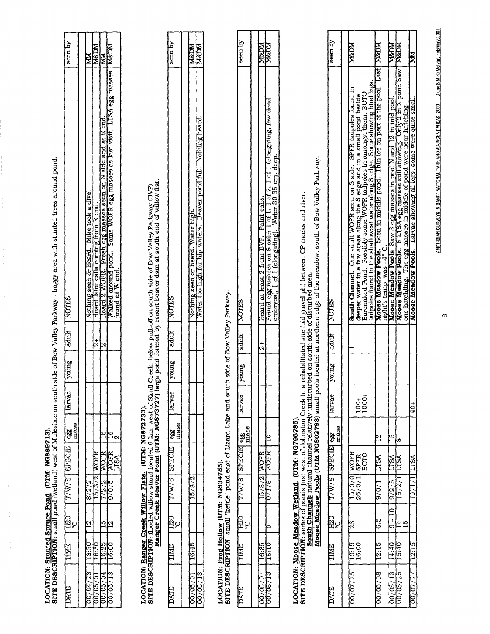LOCATION: Stunted Spruce Pond (UTM: NG889713).<br>SITE DESCRIPTION: small pond (wetland) west of Mules **LOCATION: Stunted Spruce Pond (UTM: NG889713).** 

|          | į                                              |
|----------|------------------------------------------------|
|          | i                                              |
|          | ו<br>ד<br>į                                    |
|          |                                                |
|          |                                                |
|          |                                                |
|          |                                                |
|          |                                                |
|          |                                                |
|          |                                                |
|          |                                                |
|          |                                                |
|          |                                                |
|          |                                                |
|          |                                                |
|          |                                                |
|          | l                                              |
|          |                                                |
|          |                                                |
|          |                                                |
|          |                                                |
|          |                                                |
|          |                                                |
|          | Ì                                              |
|          | $\frac{1}{2}$                                  |
|          |                                                |
|          |                                                |
|          |                                                |
|          |                                                |
|          |                                                |
|          |                                                |
|          |                                                |
|          | ֖֧ׅ֧֧֧֧֧֚֚֚֚֚֚֚֚֚֚֚֚֚֚֚֚֚֚֚֚֚֚֚֚֚֚֚֬֝֘֝֟֝֓֝֬֝֓ |
|          |                                                |
|          |                                                |
|          |                                                |
|          |                                                |
|          |                                                |
|          |                                                |
|          |                                                |
|          |                                                |
|          |                                                |
|          | $\begin{bmatrix} 1 \\ 1 \\ 1 \end{bmatrix}$    |
|          |                                                |
|          |                                                |
|          |                                                |
|          |                                                |
|          |                                                |
|          |                                                |
|          |                                                |
|          |                                                |
|          |                                                |
|          |                                                |
|          |                                                |
|          |                                                |
|          |                                                |
|          |                                                |
|          |                                                |
|          |                                                |
|          |                                                |
|          |                                                |
|          |                                                |
|          |                                                |
|          |                                                |
|          |                                                |
|          |                                                |
|          |                                                |
|          |                                                |
| $\vdots$ | xon                                            |
|          |                                                |
|          |                                                |
|          |                                                |
|          |                                                |
|          |                                                |
|          |                                                |
|          |                                                |
|          |                                                |
|          |                                                |
|          |                                                |
|          |                                                |
|          |                                                |
|          |                                                |
|          | ・・・くりそうちょく くしょう                                |
|          |                                                |
|          |                                                |
|          |                                                |
|          |                                                |

 $\begin{array}{ccc}\n\frac{1}{2} & \frac{1}{2} & \frac{1}{2} & \frac{1}{2} & \frac{1}{2} & \frac{1}{2} & \frac{1}{2} & \frac{1}{2} & \frac{1}{2} & \frac{1}{2} & \frac{1}{2} & \frac{1}{2} & \frac{1}{2} & \frac{1}{2} & \frac{1}{2} & \frac{1}{2} & \frac{1}{2} & \frac{1}{2} & \frac{1}{2} & \frac{1}{2} & \frac{1}{2} & \frac{1}{2} & \frac{1}{2} & \frac{1}{2} & \frac{1}{2} & \frac{1}{2} & \frac{1$ 

| seen by                                                 |                                          | <u>NCP81</u>                         |                                                                                                                                        | M&DM            |
|---------------------------------------------------------|------------------------------------------|--------------------------------------|----------------------------------------------------------------------------------------------------------------------------------------|-----------------|
| <b>SELION</b>                                           | lothing seen or heard. Mike took a dive. | feard faint calls coming from E end. | Jeard 2 WOFR. Fresh egg masses seen on N side and at E end.<br>Walked around pond. Same WOFR egg masses as last visit. LTSA egg masses | found at W end. |
| $\overline{\phantom{a}}$ adult $\overline{\phantom{a}}$ |                                          |                                      |                                                                                                                                        |                 |
| young                                                   |                                          |                                      |                                                                                                                                        |                 |
| arvae                                                   |                                          |                                      |                                                                                                                                        |                 |
| egg<br>mass                                             |                                          |                                      |                                                                                                                                        |                 |
| T/W/S SPECIE                                            |                                          | <b>NOFR</b>                          | WOFR                                                                                                                                   | WOFR<br>LTSA    |
|                                                         |                                          | 15/3/2                               | 7/2/2                                                                                                                                  |                 |
| $\frac{3}{6}$                                           |                                          |                                      |                                                                                                                                        |                 |
| TIME                                                    | 13:30                                    | 16:50                                | 16:25                                                                                                                                  | 16:00           |
| DATE                                                    | 0704723                                  | $\frac{00705701}{00705704}$          |                                                                                                                                        |                 |

# **LOCATION: Ranger Creek Willow Flats. (UTM: NG872733).**

י<br>הייתו

LOCATION: <u>Ranger Creek Willow Flats</u>, (UTM: NG872733).<br>SITE DESCRIPTION: flooded willow stand located 6 km. west of Skull Creek. below pull-off on south side of Bow Valley Parkway (BVP).<br>SITE DESCRIPTION: flooded willow s **Ranger Creek Beaver Pond (UTM: NG873727)** large pond formed by recent beaver dam at south end of willow flat. **SITE DESCRIPTION:** flooded willow stand located 6 km. west of Skull Creek. below pull-off on south side of Bow Valley Parkway (BVP).

| i | <b>RZ</b> | $1/W/S$ i specie | mass<br>88<br>0 | larvae | $1$ young $1$ adult | <b>SAINN</b>                                                    | seen by        |
|---|-----------|------------------|-----------------|--------|---------------------|-----------------------------------------------------------------|----------------|
|   |           |                  |                 |        |                     |                                                                 |                |
|   |           | ì                |                 |        |                     | Nothing seen or heard. Water high.                              | <b>MARGERS</b> |
|   |           |                  |                 |        |                     | Water too high for hip waters. Beaver pond full. Nothing heard. |                |

# **LOCATION: Frog Hollow (UTM: NG834755).**

**SITE DESCRIPTION:** small "kettle" pond east of Lizard Lake and south side of Bow Valley Parkway. LOCATION: <u>Frog Hollow</u> (UTM: NG834755).<br>SITE DESCRIPTION: small "kettle" pond east of Lizard Lake and south side of Bow Valley Parkway.

| seen by          | <b>MCBI</b>                             |                                                                                                                                  |
|------------------|-----------------------------------------|----------------------------------------------------------------------------------------------------------------------------------|
| <b>JOTES</b>     | Heard at least 2 from BVP. Faint calls. | Found egg masses on S side: 1 of 1, 1 of 7, 1 of 1 (elongating, few dead<br>embryos), 1 of 1 (elongating). Water 30 35 cm. deep. |
|                  | ł                                       |                                                                                                                                  |
| young adult      |                                         |                                                                                                                                  |
| arvae            |                                         |                                                                                                                                  |
| mass<br>98<br>08 |                                         |                                                                                                                                  |
|                  |                                         |                                                                                                                                  |
|                  |                                         |                                                                                                                                  |
|                  |                                         |                                                                                                                                  |
|                  |                                         |                                                                                                                                  |
|                  |                                         |                                                                                                                                  |

# **LOCATION: Moose Meadow Wetland. (UTM: NG795785).**

**SITE DESCRIPTION:** series of ponds just west of Johnston Creek in a rehabilitated site (old gravel pit) between CP tracks and river.

LOCATION: <u>Moose Meadow Wetland</u>. (UTM: NG795785).<br>SITE DESCRIFTION: series of ponds just west of Johnston Creek in a rehabilitated site (old gravel pit) between CP tracks and river.<br>SITE DESCRIFTION: series of ponds just **South Channel:** natural channel relatively undisturbed on south side of disturbed area.

**Moose Meadow Pools (UTM NG802783)** small pools located at northern edge of the meadow, south of Bow Valley Parkway.

| seen by                                            | M&DM                                                                                   |                                                                         |                                                                   |                                                                                |                                                                                    |                                   | MRTM                                                               |                                                                                  |                                                                     |                                                                    |
|----------------------------------------------------|----------------------------------------------------------------------------------------|-------------------------------------------------------------------------|-------------------------------------------------------------------|--------------------------------------------------------------------------------|------------------------------------------------------------------------------------|-----------------------------------|--------------------------------------------------------------------|----------------------------------------------------------------------------------|---------------------------------------------------------------------|--------------------------------------------------------------------|
|                                                    | <b>South Channel.</b> One adult WOFR seen on S side. SPFR tadpoles found in            | deeper water in a few areas along the S edge and in a small pond beside | Barenaked Pond. Possibly some WOFR tadpoles in amongst them. BOTO | tadpoles found in the shallowest water along $S$ edge. Some showing hind legs. | Moose Meadow Pools. Seen in middle pond. Thin ice on part of the pool. Last   M&DM | might's temp. was $-4^{\circ}$ C. | Moose Meadow Pools. Saw 3 egg masses in pool N and 12 in mid pool. | Moose Meadow Pools. 8 LTSA egg masses still showing. Only 2 in N pond Saw   M&DM | one hatchling. The egg masses in middle of pond were near hatching. | Moose Meadow Pools. Larvae showing all legs, some were quite small |
|                                                    |                                                                                        |                                                                         |                                                                   |                                                                                |                                                                                    |                                   |                                                                    |                                                                                  |                                                                     |                                                                    |
| young   adult   NOTES                              |                                                                                        |                                                                         |                                                                   |                                                                                |                                                                                    |                                   |                                                                    |                                                                                  |                                                                     |                                                                    |
| larvae                                             |                                                                                        | $1000+$                                                                 |                                                                   |                                                                                |                                                                                    |                                   |                                                                    |                                                                                  |                                                                     |                                                                    |
|                                                    |                                                                                        |                                                                         |                                                                   |                                                                                |                                                                                    |                                   |                                                                    | $\alpha$                                                                         |                                                                     |                                                                    |
|                                                    |                                                                                        |                                                                         |                                                                   |                                                                                |                                                                                    |                                   |                                                                    | 5/2/1115A                                                                        |                                                                     |                                                                    |
| $\left[\frac{\text{T/W}}{\text{SPECH}}\right]$ egg | $\left[\frac{15/0/0}{26/0/1}\right]$ SPFR<br>$\left[\frac{26/0/1}{\text{BOPR}}\right]$ |                                                                         |                                                                   |                                                                                | 9/0/1   LTSA                                                                       |                                   | $9 - 10$   $9/2/5$   LTSA                                          |                                                                                  |                                                                     | 1971/1  LTSA                                                       |
| ្ត<br>អ្នក                                         | $\frac{1}{23}$                                                                         |                                                                         |                                                                   |                                                                                |                                                                                    |                                   |                                                                    |                                                                                  |                                                                     |                                                                    |
| TIME                                               |                                                                                        |                                                                         |                                                                   |                                                                                |                                                                                    |                                   | 14:40                                                              | 15:40                                                                            |                                                                     |                                                                    |
| DATE                                               |                                                                                        |                                                                         |                                                                   |                                                                                | $00/05/08$   12:15   6.5                                                           |                                   | 1370/05/13                                                         | 00/05/25                                                                         |                                                                     | 00/07/27 12:15                                                     |

AMPHIBIAN SURVEYS IN BANFF NATIONAL PARKANQ ADJACENT AREAS. 2000 Diane & Mike Mcivor, february,2001 AMPHIBIAN SURVEYS IN BANFF NATIONAL PARK AND ADJACENT AREAS, 2000 \_\_\_ Diane & Mike McIvor. February 2001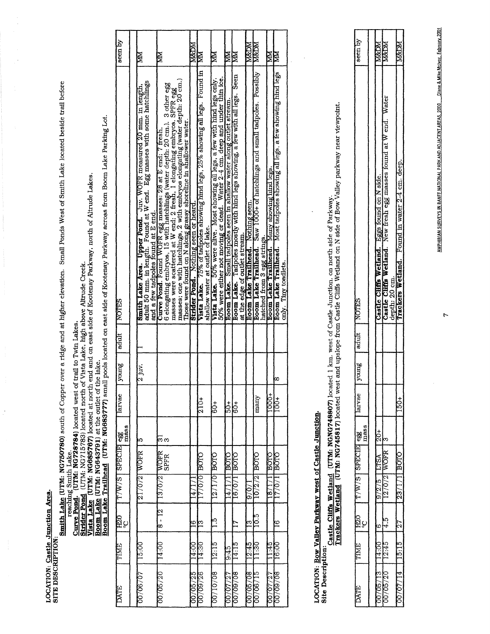**LOCATION: Castle Junction Area. LOCATION: Castle Junction Area**<br>SITE DESCRIPTION: **SITE DESCRIPTION:** 

Smith Lake (UTM: NG750780) south of Copper over a ridge and at higher elevation. Small Ponds West of Smith Lake located beside trail before<br>Curve Pond. (UTM: NG728784) located west of trail to Twin Lakes.<br>Strider Pond (UTM **Smith Lake (UTM: NG750780)** south of Copper over a ridge and at higher elevation. Small Ponds West of Smith Lake located beside trail before reaching Smith Lake.

**Curve Pond. (UTM: NG728784)** located west of trail to Twin Lakes.

**Strider Pond** (UTM: NG715783) located north of Vista Lake, high above Altrude Creek.

**Vista Lake (UTM: NG685767)** located at north end and on east side of Kootenay Parkway, north of Altrude Lakes.

**Boom Lake (UTM: NG643791)** at the outlet of the lake.

**Boom Lake Trailhead (UTM: NG683777)** small pools located on east side of Kootenay Parkway across from Boom Lake Parking Lot.

| seen by          | <b>NBN</b>                                                                                                                                                                         | MМ                                                                                                                                                                                                                                                                                                                                                                     | <b>M&amp;DM</b>                      | $\mathbb{R}$                                                                                                                | ŅМ                                                                                                                                                                 | M                                                                    | Š                                                                                                             | M&DM                               | M&DM                                                                                                        | X                                            | MM                                                                                                  |
|------------------|------------------------------------------------------------------------------------------------------------------------------------------------------------------------------------|------------------------------------------------------------------------------------------------------------------------------------------------------------------------------------------------------------------------------------------------------------------------------------------------------------------------------------------------------------------------|--------------------------------------|-----------------------------------------------------------------------------------------------------------------------------|--------------------------------------------------------------------------------------------------------------------------------------------------------------------|----------------------------------------------------------------------|---------------------------------------------------------------------------------------------------------------|------------------------------------|-------------------------------------------------------------------------------------------------------------|----------------------------------------------|-----------------------------------------------------------------------------------------------------|
| <b>NOTES</b>     | adult 50 mm. in length. Found at W end. Egg masses with some hatchlings<br>Smith Lake Area. Upper Pond. Juv. WOFR measured 20 mm. in length,<br>and a few tadpoles found at E end. | masses; one with hatchlings, 2 with embryos elongating (water depth: 20 cm.)<br>6 elongating embryos, 15 with hatchlings (water depth: 20 cm.). 3 other egg<br>masses were scattered at W end: 2 fresh, 1 elongating embryos. SPFR egg<br>Those were found on N along grassy shoreline in shallower water.<br>Curve Pond. Found WOFR egg masses: 28 at E end: 7 fresh. | Strider Pond. Nothing seen or heard. | <b>Vista Lake.</b> 75% of tadpoles showing hind legs, $25\%$ showing all legs. Found in<br>shallow water at outlet of lake. | <b>Vista Lake.</b> 50% were alive. Most showing all legs, a few with hind legs only.<br>50% were either not moving or dead. Water 2-4 cm. deep and under thin ice. | Boom Lake. Small tadpoles seen in shallow water along outlet stream. | Boom Lake. Tadpoles mostly with hind legs showing, a few with all legs. Seen<br>at the edge of outlet stream. | Boom Lake Trailhead. Nothing seen. | Saw 1000+ of hatchlings and small tadpoles. Possibly<br>hatched from 3 egg strings.<br>Boom Lake Trailhead. | Boom Lake Trailhead. Many showing hind legs. | Boom Lake Trailhead. Most tadpoles showing all legs, a few showing hind legs<br>only. Tiny toadlets |
| adult            |                                                                                                                                                                                    |                                                                                                                                                                                                                                                                                                                                                                        |                                      |                                                                                                                             |                                                                                                                                                                    |                                                                      |                                                                                                               |                                    |                                                                                                             |                                              |                                                                                                     |
| young            | $\sqrt{2}$ juv.                                                                                                                                                                    |                                                                                                                                                                                                                                                                                                                                                                        |                                      |                                                                                                                             |                                                                                                                                                                    |                                                                      |                                                                                                               |                                    |                                                                                                             |                                              | þc                                                                                                  |
| larvae           |                                                                                                                                                                                    |                                                                                                                                                                                                                                                                                                                                                                        |                                      | $210+$                                                                                                                      | $\frac{1}{60}$                                                                                                                                                     | $\frac{1}{2}$                                                        | -29                                                                                                           |                                    | many                                                                                                        | $\frac{1}{2}$                                | $100 +$                                                                                             |
| mass<br>98<br>Og | խ                                                                                                                                                                                  | ოო                                                                                                                                                                                                                                                                                                                                                                     |                                      |                                                                                                                             |                                                                                                                                                                    |                                                                      |                                                                                                               |                                    |                                                                                                             |                                              |                                                                                                     |
|                  |                                                                                                                                                                                    |                                                                                                                                                                                                                                                                                                                                                                        |                                      |                                                                                                                             |                                                                                                                                                                    | BOIO                                                                 | 0000                                                                                                          |                                    | <b>BOTO</b>                                                                                                 | $_{\rm BOTO}$                                | <b>BOTO</b>                                                                                         |
| $T/W/S$ SPECIE   | 21/0/21 WOFR                                                                                                                                                                       | 13/0/2 WOFR<br>SPFR                                                                                                                                                                                                                                                                                                                                                    | 14/1/                                | $7/0/0$ BOTO                                                                                                                | $12/1/0$ BOTO                                                                                                                                                      | 14/1/1                                                               | 16/0/1                                                                                                        | $\frac{6}{9}$                      | 10/2/2                                                                                                      | 18/1/1                                       | 17/0/1                                                                                              |
| ದ<br>ದೇ          |                                                                                                                                                                                    | $8 - 12$                                                                                                                                                                                                                                                                                                                                                               | $\overline{16}$                      | Ë                                                                                                                           | Ŀ                                                                                                                                                                  |                                                                      |                                                                                                               | $\frac{1}{2}$                      | $\frac{10.5}{ }$                                                                                            |                                              | Įб                                                                                                  |
| TIME             | 00:51                                                                                                                                                                              | 14:00                                                                                                                                                                                                                                                                                                                                                                  | 14:00                                | 14.30                                                                                                                       | 12:15                                                                                                                                                              | 64.6                                                                 | 14:15                                                                                                         | 12:45                              | 11:30                                                                                                       | 11:45                                        | 16:00                                                                                               |
| <b>DATE</b>      | $00/06/07$                                                                                                                                                                         | 00/05/20                                                                                                                                                                                                                                                                                                                                                               | 00/05/25                             | 00/09/26                                                                                                                    | 00/10/08                                                                                                                                                           | 00/07/27                                                             | 80/60/00                                                                                                      | 00/05/08                           | 00/06/15                                                                                                    | 00/07/27                                     | 00/09/08                                                                                            |

## **LOCATION: Bow Valley Parkway west of Castle Junction.**  LOCATION: Bow Valley Parkway west of Castle Junction.<br>Site Description: **Site Description:**

**Trackers Wetland (UTM: NG745817)** located west and upslope from Castle Cliffs Wetland on N side of Bow Valley parkway near viewpoint. Castle Cliffs Wetland (UTM: NGNG748807) located 1 km. west of Castle Junction, on north side of Parkway.<br>Trackers Wetland (UTM: NG745817) located west and upslope from Castle Cliffs Wetland on N side of Bow Valley parkway **Castle Clift's Wetland (UTM: NGNG748807)** located 1 km. west of Castle Junction. on north side of Parkway.

| seen by               | <b>MCPSV</b>                                 | WADM                                                                               | ÁSDA                                           |
|-----------------------|----------------------------------------------|------------------------------------------------------------------------------------|------------------------------------------------|
| voung   adult   NOTES | Castle Cliffs Wetland. Eggs found on N side. | Castle Cliffs Wetland. New fresh egg masses found at W end. Water<br>depth: 20 cm. | Trackers Wetland. Found in water 2-4 cm. deep. |
|                       |                                              |                                                                                    |                                                |
|                       |                                              |                                                                                    |                                                |
| larvae                |                                              |                                                                                    |                                                |
|                       |                                              |                                                                                    |                                                |
| SPECIE egg<br>mass    |                                              |                                                                                    |                                                |
|                       |                                              |                                                                                    |                                                |
| ម្ព័ះ                 |                                              |                                                                                    |                                                |
|                       |                                              |                                                                                    |                                                |
| <b>JATE</b>           |                                              |                                                                                    |                                                |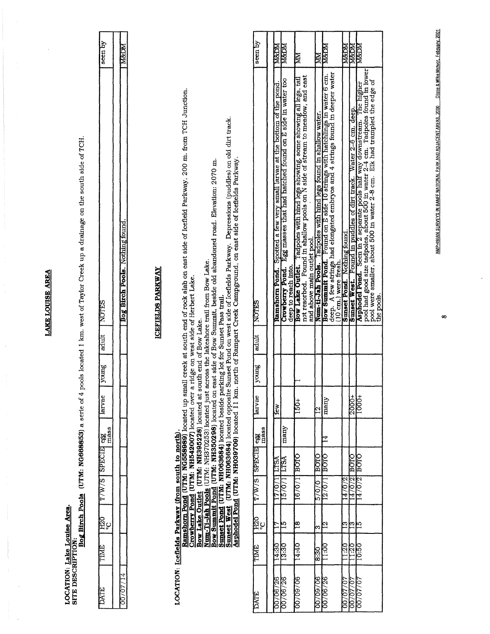**LOCATION: Lake Louise Area.**  LOCATION: Lake Louise Area<br>SITE DESCRIPTION: **SITE DESCRIPTION:** 

**Bog Birch Pools (UTM: NG668853)** a serie of 4 pools located 1 km. west of Taylor Creek up a drainage on the south side of TCH. Bog Birch Pools (UTM: NG668863) a serie of 4 pools located 1 km. west of Taylor Creek up a drainage on the south side of TCH.

| )<br>}<br>;                 | i de la companya de la companya de la companya de la companya de la companya de la companya de la companya de<br>l<br><b>The Second Second Second Second Second Second Second Second Second Second Second Second Second Second Second Second Second Second Second Second Second Second Second Second Second Second Second Second Second Second Second </b><br><b>Contract of the Contract of the Contract of the Contract of the Contract of the Contract of the Contract of the Contract of the Contract of the Contract of the Contract of the Contract of the Contract of the Contract of t</b><br>ì |        |                |                    |               | l                    |
|-----------------------------|---------------------------------------------------------------------------------------------------------------------------------------------------------------------------------------------------------------------------------------------------------------------------------------------------------------------------------------------------------------------------------------------------------------------------------------------------------------------------------------------------------------------------------------------------------------------------------------------------------|--------|----------------|--------------------|---------------|----------------------|
|                             | ▌<br> <br> <br> <br> <br> <br> <br>                                                                                                                                                                                                                                                                                                                                                                                                                                                                                                                                                                     |        |                |                    | l             |                      |
| ֚֚֚֚֚֚֚֚֚֚֚֚֡֕֝<br>֧׀<br>֚֘ | $\begin{array}{ccccccccccccc} \multicolumn{2}{c}{} & \multicolumn{2}{c}{} & \multicolumn{2}{c}{} & \multicolumn{2}{c}{} & \multicolumn{2}{c}{} & \multicolumn{2}{c}{} & \multicolumn{2}{c}{} & \multicolumn{2}{c}{} & \multicolumn{2}{c}{} & \multicolumn{2}{c}{} & \multicolumn{2}{c}{} & \multicolumn{2}{c}{} & \multicolumn{2}{c}{} & \multicolumn{2}{c}{} & \multicolumn{2}{c}{} & \multicolumn{2}{c}{} & \multicolumn{2}{c}{} & \multicolumn{2}{c}{} & \multicolumn{2}{c}{} & \$                                                                                                                   | Ì      |                | mass               | Ś             | <br> <br>            |
| i<br>apan<br>$\frac{1}{2}$  | į                                                                                                                                                                                                                                                                                                                                                                                                                                                                                                                                                                                                       | į<br>l | u va v<br>arma | 8<br>,<br>1. 大学 大学 | $\frac{1}{2}$ | F<br> <br> <br> <br> |

### **ICEFIELDS PARKWAY ICEFIELDS PARKWAY**

**LOCATION: Iceflelds Parkway (from south to north).**  LOCATION: Leefields Parkway (from south to north)

Ramshorn Pond (UTM: NG558989) located up small creek at south end of rock slab on east side of lecfield Parkway, 200 m. from TCH Junction.<br>Crowberry Pond (UTM: NH342007) located over a ridge on west side of Herbert Lake.<br>B **Ramshom Pond (UTM: NG558989)** located up small creek at south end of rock slab on east side of Icefield Parkway, 200 m. from TCH Junction. **Crowberry Pond (UTM: NH542007)** located over a ridge on west side of Herbert Lake.

**Bow Lake Outlet (UTM: NH395228)** located at south end of Bow Lake.

**Num·Tl·Jah Pools** (UTM: NH370253) located just across the lakeshore trail from Bow Lake.

**Bow Summit Pond (UTM: NH350298)** located on east side of Bow Summit, beside old abandoned road. Elevation: 2070 m.

**Sunset Pond (UTM: NH063684)** located beside parking lot for Sunset Pass trail.

**Sunset West (UTM: NH063684)** located opposite Sunset Pond on west side of Icefields Parkway. Depressions (puddles) on old dirt track.

**Asphodel Pond (UTM: NH039709)** located 11 km. north of Rampart Creek Campground, on east side of Icefields Parkway.

| seen by               | M&DM                                                                     | <b>M&amp;DM</b>                                                                                 |                                                                                                                                                                                              |                                                                   | M&DM                                                                                                                                                                               | M&DM                        | <b>M&amp;DM</b>                                                  | M&DM                                                                                                                                                                                                                                                  |
|-----------------------|--------------------------------------------------------------------------|-------------------------------------------------------------------------------------------------|----------------------------------------------------------------------------------------------------------------------------------------------------------------------------------------------|-------------------------------------------------------------------|------------------------------------------------------------------------------------------------------------------------------------------------------------------------------------|-----------------------------|------------------------------------------------------------------|-------------------------------------------------------------------------------------------------------------------------------------------------------------------------------------------------------------------------------------------------------|
| <b>TNOTES</b>         | Ramshom Pond. Spotted a few very small larvae at the bottom of the pond. | Crowberry Pond. Egg masses that had hatched found on E side in water too<br>deep to reach into. | not resorbed. Found in shallow pools on N side of stream to meadow, and east<br>Bow Lake Outlet. Tadpoles with hind legs showing, some showing all legs, tail<br>and above main outlet pool. | Num-ti-Jah Pools. Tadpoles with hind legs found in shallow water. | deep. A few strings had elongated embryos and 4 strings found in deeper water<br>Bow Summit Pond. Found on E side 10 strings with hatchlings in water 6 cm.<br>10 cm.) were fresh. | Sunset Pond. Nothing found. | Sunset West. Found in puddles of dirt track. Water 2-6 cm. deep. | pool had good size tadpoles, about 500 in water 2-4 cm. Tadpoles found in lower<br>pool were smaller, about 500 in water 2-8 cm. Elk had trampled the edge of<br>Asphodel Pond. Seen in 2 separate pools half way downstream. The higher<br>the pools |
| $\sqrt{\text{adult}}$ |                                                                          |                                                                                                 |                                                                                                                                                                                              |                                                                   |                                                                                                                                                                                    |                             |                                                                  |                                                                                                                                                                                                                                                       |
| stmed                 |                                                                          |                                                                                                 |                                                                                                                                                                                              |                                                                   |                                                                                                                                                                                    |                             |                                                                  |                                                                                                                                                                                                                                                       |
| larvac                | few                                                                      |                                                                                                 | 150+                                                                                                                                                                                         | $\overline{c}$                                                    | many                                                                                                                                                                               |                             | 2000+                                                            | 1000+                                                                                                                                                                                                                                                 |
| mass                  |                                                                          | many                                                                                            |                                                                                                                                                                                              |                                                                   |                                                                                                                                                                                    |                             |                                                                  |                                                                                                                                                                                                                                                       |
|                       |                                                                          |                                                                                                 |                                                                                                                                                                                              |                                                                   | 12/0/11 BOTO                                                                                                                                                                       |                             |                                                                  |                                                                                                                                                                                                                                                       |
| $T/W/S$ SPECIE $egg$  | $17/0/11$ LTSA                                                           | 15/0/11 LTSA                                                                                    | $16/0/11$ BOTO                                                                                                                                                                               | 5/0/0 BOTO                                                        |                                                                                                                                                                                    | (4/0/2                      | 14/0/21 BOTO                                                     | 14/0/21 BOTO                                                                                                                                                                                                                                          |
| $\frac{1}{2}$         |                                                                          | ما<br>با                                                                                        | $\frac{8}{18}$                                                                                                                                                                               |                                                                   |                                                                                                                                                                                    |                             | B                                                                | $\frac{5}{1}$                                                                                                                                                                                                                                         |
| TIME                  | 14:30                                                                    | 13:30                                                                                           | 14.40                                                                                                                                                                                        | 8:30                                                              | $\frac{6}{10}$                                                                                                                                                                     | 20                          | - 1:20                                                           | 10:50                                                                                                                                                                                                                                                 |
| DATE                  | 00/08/26                                                                 | 00/06/26                                                                                        | 00/09/06                                                                                                                                                                                     | 00/09/06                                                          | 00/06/26                                                                                                                                                                           | 70/07/07                    | 00/07/07                                                         | 00/07/07                                                                                                                                                                                                                                              |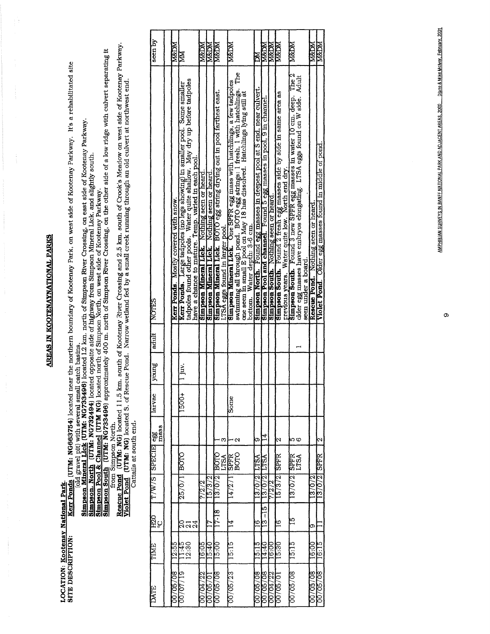## **AREAS IN KOOTENAYNATIONAL PARKS AREAS IN KOOTENAYNATIONAL PARKS**

**LOCATION: Kootenay National Park.**  LOCATION: Kootenay National Park.<br>SITE DESCRIPTION: Kerr Ponds

Kerr Ponds (UTM: NG663754) located near the northern boundary of Kootenay Park, on west side of Kootenay Parkway. It's a rehabilitated site **SITE DESCRIPTION: Kerr Ponds (UTM: NG663754)** located near the northern boundary of Kootenay Park. on west side of Kootenay Parkway. It's a rehabilitated site (old gravel pit) with several small catch basins.

**Simpson Mineral Lick (UTM: NG733496)** located 1.2 km. north of Simpson River Crossing. on east side of Kootenay Parkway. **Simpson. North (UTM: NG732494)** located opposite side of highway from Simpson Mineral Lick. and slightly south.

**Simpson Pool & Channel (UTM NG)** located north of Simpson North. on west side of Kootenay Parkway.

(old gravel pit) with several small catch hasins.<br>Simpson Mineral Lick (UTM: NG733496) located 1.2 km. north of Simpson River Crossing, on east side of Kootenay Parkway.<br>Simpson Rori (UTM: NG733494) located opposite side o **Simpson South (UTM: NG733496)** approximately 400 m. north of Simpson River Crossing. on the other side of a low ridge with culvert separating it from Simpson North.

**Rescue Pond (UTM: NG)** located 11.5 km. south of Kootenay River Crossing and 2.5 km. south of Crook's Meadow on west side of Kootenay Parkway. **Violet Pond (UTM: NG)** located S. of Rescue Pond. Narrow wetland fed by a small creek running through an old culvert at northwest end.

| j      |
|--------|
| -----  |
| i<br>ì |
|        |

| DATE     | TIME        | $\frac{1}{2}$ |                            | T/W/S SPECIE egg    | mass               | larvae | Young   | adult | <b>NOTES</b>                                                                                               | seen by         |
|----------|-------------|---------------|----------------------------|---------------------|--------------------|--------|---------|-------|------------------------------------------------------------------------------------------------------------|-----------------|
|          |             |               |                            |                     |                    |        |         |       |                                                                                                            |                 |
| 00/05/08 | 12:55       |               |                            |                     |                    |        |         |       | Kerr Ponds. Mostly covered with snow.                                                                      | <b>M&amp;DM</b> |
| 00/07/19 | 55.11       |               |                            | 25/0/1 BOTO         |                    | 1500+  | 11 juv. |       | Kerr Ponds. Large tadpoles (no legs showing) in smaller pool. Some smaller                                 | MИ              |
|          | 12:30       |               |                            |                     |                    |        |         |       | tadpoles found other pools. Water quite shallow. May dry up before tadpoles                                |                 |
|          |             | 24            |                            |                     |                    |        |         |       | have a chance to mature. Temp, varied in each pool.                                                        |                 |
| 1/04/22  | 16:05       |               | 2/2/2                      |                     |                    |        |         |       | Simpson Mineral Lick. Nothing seen or heard.                                                               | M&DM            |
| 0/05/07  | 15:40       |               | 15/3/2                     |                     |                    |        |         |       | Simpson Mineral Lick. Nothing seen or heard.                                                               | M&DM            |
| 00/05/08 | 75.00       | 1718          | 13/0/2                     | LTSA<br><b>BOT</b>  | က                  |        |         |       | Simpson Mineral Lick. BOTO egg string drying out in pool farthest east.<br>LTSA eggs found in larger pool. | M&DM            |
| 00/05/23 | 15:15       | $\vec{a}$     | 14/2/1                     | <b>SPPR</b><br>BOTO |                    | Some   |         |       | Simpson Mineral Lick. One SPFR egg mass with hatchlings, a few tadpoles                                    | M&DM            |
|          |             |               |                            |                     |                    |        |         |       | swimming all through pond. BOTO egg strings: 1 fresh, 1 with hatchlings. The                               |                 |
|          |             |               |                            |                     |                    |        |         |       | one seen in small E pool on May 18 has dissolved. Hatchlings lying still at                                |                 |
|          |             |               |                            |                     |                    |        |         |       | bottom. Water depth: 3-6 cm.                                                                               |                 |
| 0/05/08  | 15:15       | $\frac{1}{6}$ |                            | 13/0/2 LTSA         | $\circ$            |        |         |       | Simpson North. Found egg masses in deepest pool at S end, near culvert.                                    | M               |
| 0/05/08  | $rac{1}{4}$ | $(3 - 15)$    | 13/0/2                     | LTSA                | $\overline{4}$     |        |         |       | Simpson Pool and channel. Found 5 egg masses in pool, 9 in channel.                                        | <b>M&amp;DM</b> |
| 00/04/22 | 16:00       |               | 7/2/2                      |                     |                    |        |         |       | Simpson South. Nothing seen or heard.                                                                      | M&DM            |
| 00/05/01 | 15:30       | LG            |                            | $15/3/2$ SPFR       | $\mathbf{\hat{c}}$ |        |         |       | Simpson South. Found 2 fresh egg masses side by side in same area as                                       | M&DM            |
|          |             |               |                            |                     |                    |        |         |       | previous years. Water quite low. North end dry.                                                            |                 |
| 00/05/08 | 15:15       | ĿВ            | 13/0/2 SPFR<br>13/0/2 SPFR |                     | in O               |        |         |       | <b>Simpson South.</b> Found 3 new SPFR egg masses in water 10 cm. deep. The $2$                            | M&DM            |
|          |             |               |                            |                     |                    |        |         |       | older egg masses have embryos elongating. LTSA eggs found on W side. Adult                                 |                 |
|          |             |               |                            |                     |                    |        |         |       | seen under a board.                                                                                        |                 |
| 00/05/08 | 00:91       | ю             | 13/0/2                     |                     |                    |        |         |       | Rescue Pond. Nothing seen or heard.                                                                        | M&DM            |
| 00/05/08 | 16:15       |               |                            | 13/0/2 SPFR         | þ                  |        |         |       | Violet Pond. Older egg masses found in middle of pond.                                                     | <b>MGPSW</b>    |

AMPHIBIAN SURVEYS IN BANFF MATIONAL PARK AND ADJACENT AREAS, 2000 Diane & Mike Molvor, February, 2001 AMPHIBIAN SURVEYS IN BANFF NATIONAL PARK AND ADJACENT AREAS, 2000 Diane & Mike Mcivor, February, 2001